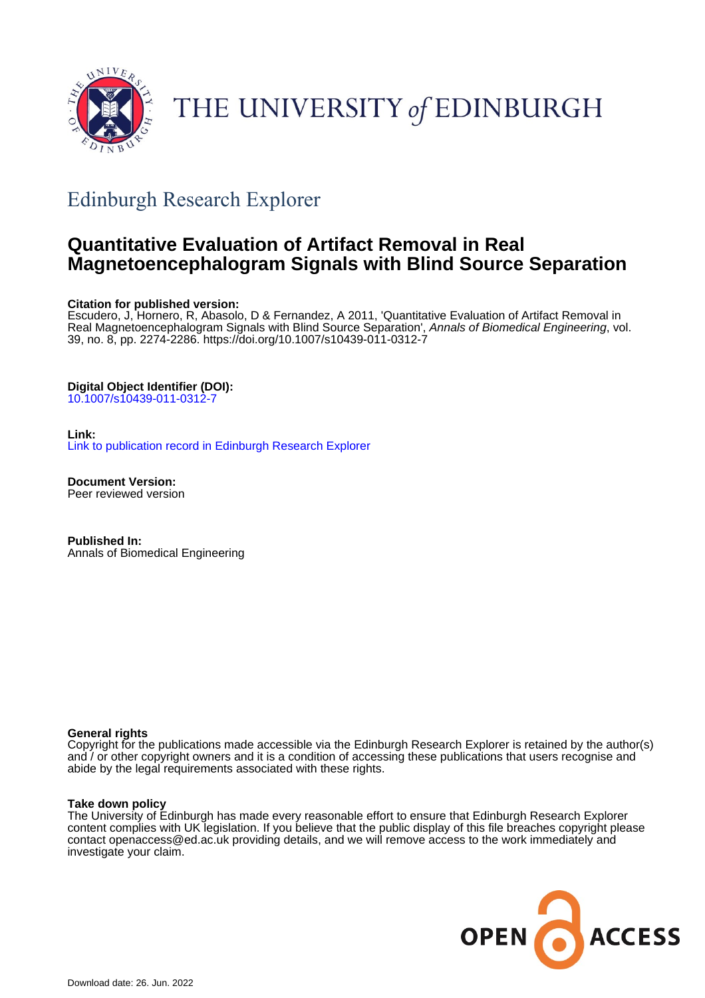

## THE UNIVERSITY of EDINBURGH

## Edinburgh Research Explorer

## **Quantitative Evaluation of Artifact Removal in Real Magnetoencephalogram Signals with Blind Source Separation**

#### **Citation for published version:**

Escudero, J, Hornero, R, Abasolo, D & Fernandez, A 2011, 'Quantitative Evaluation of Artifact Removal in Real Magnetoencephalogram Signals with Blind Source Separation', Annals of Biomedical Engineering, vol. 39, no. 8, pp. 2274-2286. <https://doi.org/10.1007/s10439-011-0312-7>

#### **Digital Object Identifier (DOI):**

[10.1007/s10439-011-0312-7](https://doi.org/10.1007/s10439-011-0312-7)

#### **Link:**

[Link to publication record in Edinburgh Research Explorer](https://www.research.ed.ac.uk/en/publications/69720fe6-fd0a-403d-894e-6bef54d64243)

**Document Version:** Peer reviewed version

**Published In:** Annals of Biomedical Engineering

#### **General rights**

Copyright for the publications made accessible via the Edinburgh Research Explorer is retained by the author(s) and / or other copyright owners and it is a condition of accessing these publications that users recognise and abide by the legal requirements associated with these rights.

#### **Take down policy**

The University of Edinburgh has made every reasonable effort to ensure that Edinburgh Research Explorer content complies with UK legislation. If you believe that the public display of this file breaches copyright please contact openaccess@ed.ac.uk providing details, and we will remove access to the work immediately and investigate your claim.

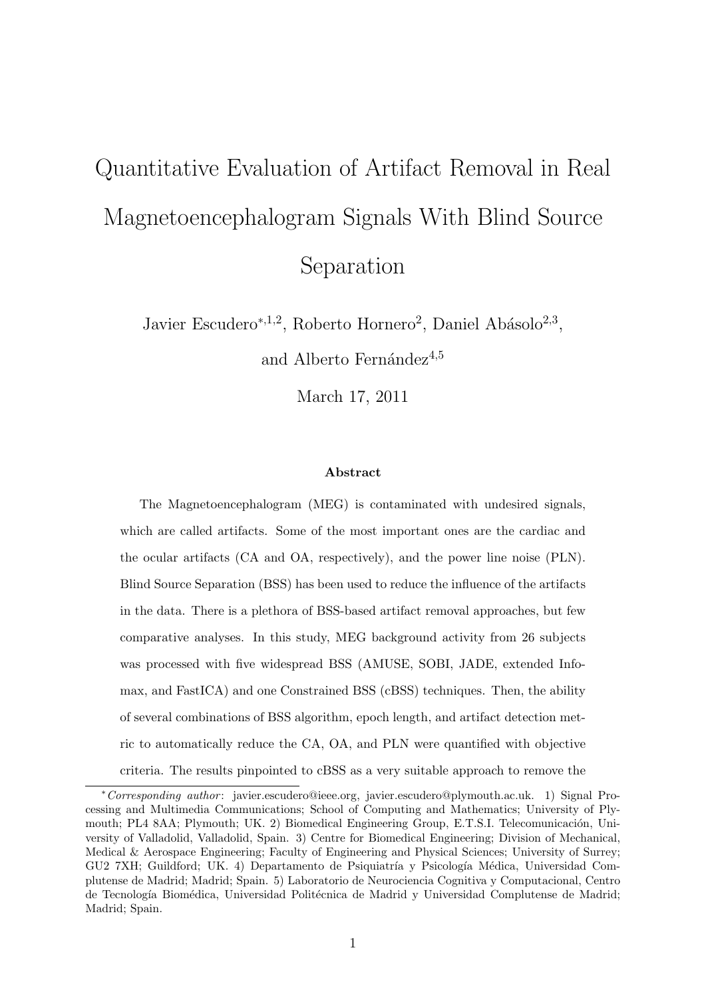# Quantitative Evaluation of Artifact Removal in Real Magnetoencephalogram Signals With Blind Source Separation

Javier Escudero<sup>\*,1,2</sup>, Roberto Hornero<sup>2</sup>, Daniel Abásolo<sup>2,3</sup>,

and Alberto Fernández<sup>4,5</sup>

March 17, 2011

#### Abstract

The Magnetoencephalogram (MEG) is contaminated with undesired signals, which are called artifacts. Some of the most important ones are the cardiac and the ocular artifacts (CA and OA, respectively), and the power line noise (PLN). Blind Source Separation (BSS) has been used to reduce the influence of the artifacts in the data. There is a plethora of BSS-based artifact removal approaches, but few comparative analyses. In this study, MEG background activity from 26 subjects was processed with five widespread BSS (AMUSE, SOBI, JADE, extended Infomax, and FastICA) and one Constrained BSS (cBSS) techniques. Then, the ability of several combinations of BSS algorithm, epoch length, and artifact detection metric to automatically reduce the CA, OA, and PLN were quantified with objective criteria. The results pinpointed to cBSS as a very suitable approach to remove the

<sup>∗</sup>Corresponding author : javier.escudero@ieee.org, javier.escudero@plymouth.ac.uk. 1) Signal Processing and Multimedia Communications; School of Computing and Mathematics; University of Plymouth; PL4 8AA; Plymouth; UK. 2) Biomedical Engineering Group, E.T.S.I. Telecomunicación, University of Valladolid, Valladolid, Spain. 3) Centre for Biomedical Engineering; Division of Mechanical, Medical & Aerospace Engineering; Faculty of Engineering and Physical Sciences; University of Surrey; GU2 7XH; Guildford; UK. 4) Departamento de Psiquiatría y Psicología Médica, Universidad Complutense de Madrid; Madrid; Spain. 5) Laboratorio de Neurociencia Cognitiva y Computacional, Centro de Tecnología Biomédica, Universidad Politécnica de Madrid y Universidad Complutense de Madrid; Madrid; Spain.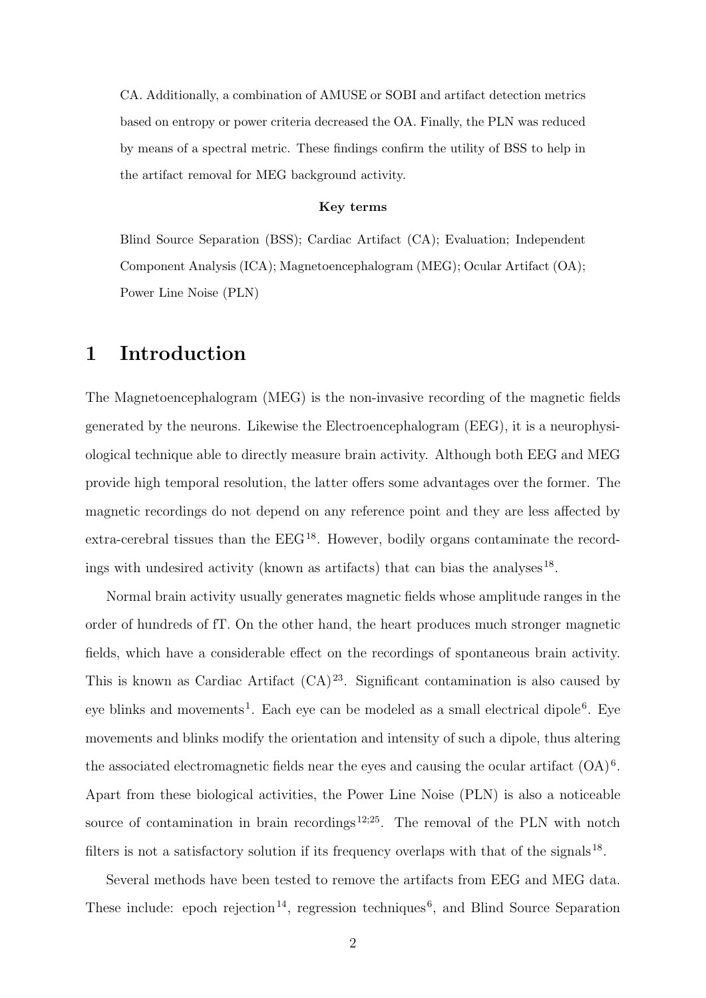CA. Additionally, a combination of AMUSE or SOBI and artifact detection metrics based on entropy or power criteria decreased the OA. Finally, the PLN was reduced by means of a spectral metric. These findings confirm the utility of BSS to help in the artifact removal for MEG background activity.

#### Key terms

Blind Source Separation (BSS); Cardiac Artifact (CA); Evaluation; Independent Component Analysis (ICA); Magnetoencephalogram (MEG); Ocular Artifact (OA); Power Line Noise (PLN)

## 1 Introduction

The Magnetoencephalogram (MEG) is the non-invasive recording of the magnetic fields generated by the neurons. Likewise the Electroencephalogram (EEG), it is a neurophysiological technique able to directly measure brain activity. Although both EEG and MEG provide high temporal resolution, the latter offers some advantages over the former. The magnetic recordings do not depend on any reference point and they are less affected by extra-cerebral tissues than the  $EEG<sup>18</sup>$ . However, bodily organs contaminate the recordings with undesired activity (known as artifacts) that can bias the analyses <sup>18</sup> .

Normal brain activity usually generates magnetic fields whose amplitude ranges in the order of hundreds of fT. On the other hand, the heart produces much stronger magnetic fields, which have a considerable effect on the recordings of spontaneous brain activity. This is known as Cardiac Artifact  $(CA)^{23}$ . Significant contamination is also caused by eye blinks and movements<sup>1</sup>. Each eye can be modeled as a small electrical dipole<sup>6</sup>. Eye movements and blinks modify the orientation and intensity of such a dipole, thus altering the associated electromagnetic fields near the eyes and causing the ocular artifact  $(OA)^6$ . Apart from these biological activities, the Power Line Noise (PLN) is also a noticeable source of contamination in brain recordings  $12:25$ . The removal of the PLN with notch filters is not a satisfactory solution if its frequency overlaps with that of the signals<sup>18</sup>.

Several methods have been tested to remove the artifacts from EEG and MEG data. These include: epoch rejection<sup>14</sup>, regression techniques<sup>6</sup>, and Blind Source Separation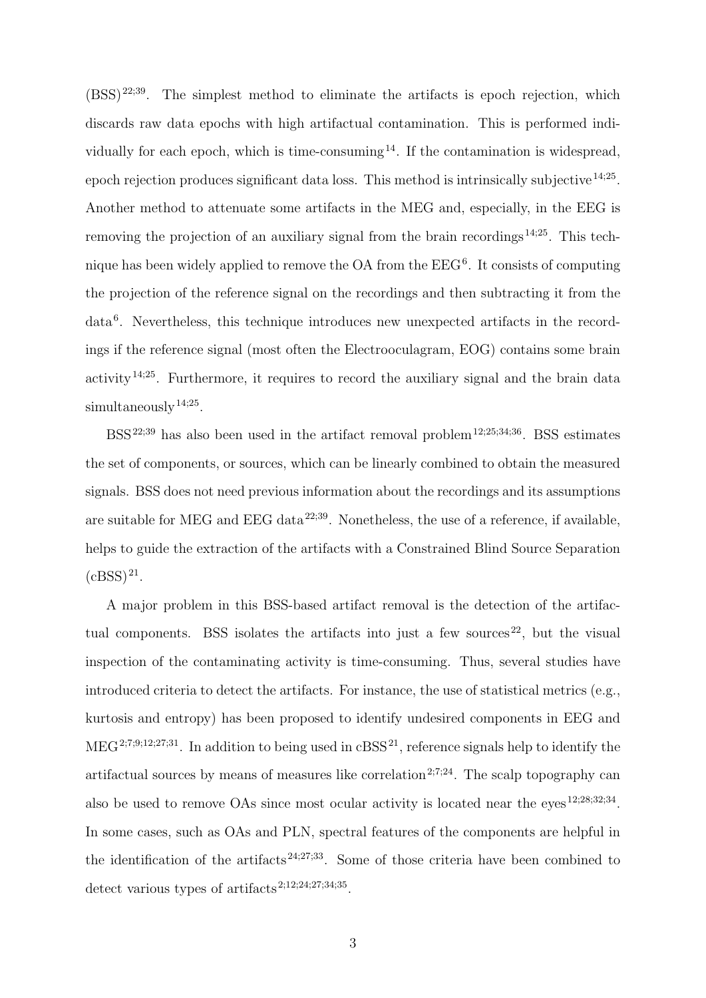$(BSS)^{22,39}$ . The simplest method to eliminate the artifacts is epoch rejection, which discards raw data epochs with high artifactual contamination. This is performed individually for each epoch, which is time-consuming  $14$ . If the contamination is widespread, epoch rejection produces significant data loss. This method is intrinsically subjective <sup>14;25</sup>. Another method to attenuate some artifacts in the MEG and, especially, in the EEG is removing the projection of an auxiliary signal from the brain recordings  $14;25$ . This technique has been widely applied to remove the OA from the  $EEG<sup>6</sup>$ . It consists of computing the projection of the reference signal on the recordings and then subtracting it from the data<sup>6</sup>. Nevertheless, this technique introduces new unexpected artifacts in the recordings if the reference signal (most often the Electrooculagram, EOG) contains some brain activity<sup>14;25</sup>. Furthermore, it requires to record the auxiliary signal and the brain data simultaneously  $14,25$ .

BSS<sup>22;39</sup> has also been used in the artifact removal problem<sup>12;25;34;36</sup>. BSS estimates the set of components, or sources, which can be linearly combined to obtain the measured signals. BSS does not need previous information about the recordings and its assumptions are suitable for MEG and EEG data<sup>22;39</sup>. Nonetheless, the use of a reference, if available, helps to guide the extraction of the artifacts with a Constrained Blind Source Separation  $(cBSS)^{21}$ .

A major problem in this BSS-based artifact removal is the detection of the artifactual components. BSS isolates the artifacts into just a few sources  $22$ , but the visual inspection of the contaminating activity is time-consuming. Thus, several studies have introduced criteria to detect the artifacts. For instance, the use of statistical metrics (e.g., kurtosis and entropy) has been proposed to identify undesired components in EEG and  $MEG^{2,7;9;12;27;31}$ . In addition to being used in  $cBSS^{21}$ , reference signals help to identify the artifactual sources by means of measures like correlation<sup>2;7;24</sup>. The scalp topography can also be used to remove OAs since most ocular activity is located near the eyes  $12;28;32;34$ . In some cases, such as OAs and PLN, spectral features of the components are helpful in the identification of the artifacts  $24:27:33$ . Some of those criteria have been combined to detect various types of artifacts<sup>2;12;24;27;34;35</sup>.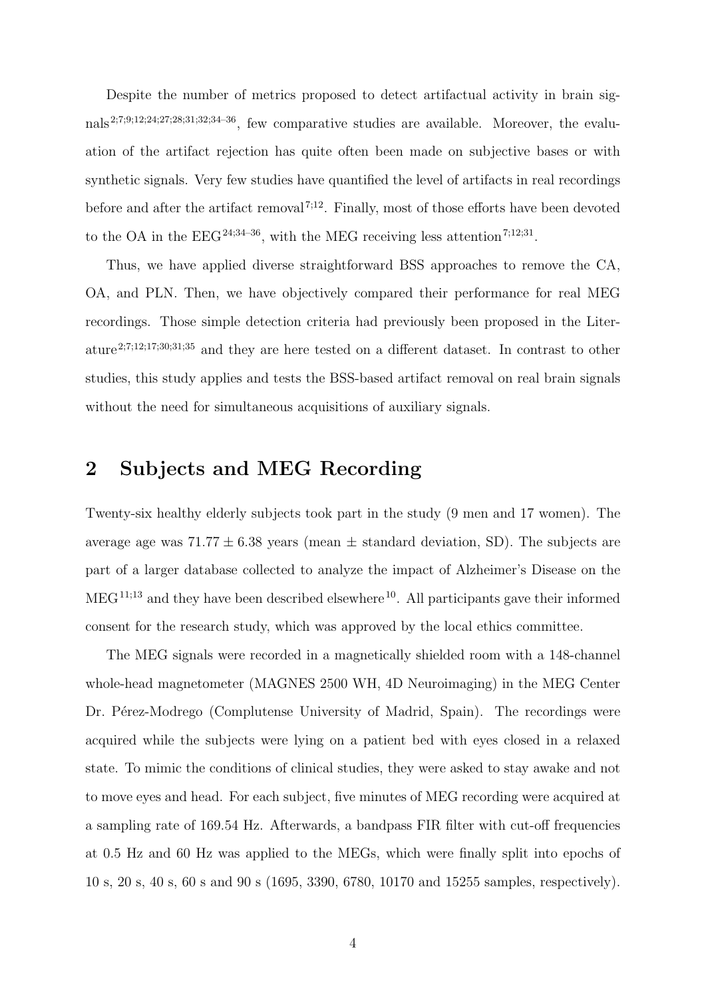Despite the number of metrics proposed to detect artifactual activity in brain signals<sup>2;7;9;12;24;27;28;31;32;34–36</sup>, few comparative studies are available. Moreover, the evaluation of the artifact rejection has quite often been made on subjective bases or with synthetic signals. Very few studies have quantified the level of artifacts in real recordings before and after the artifact removal<sup> $7;12$ </sup>. Finally, most of those efforts have been devoted to the OA in the EEG<sup>24;34-36</sup>, with the MEG receiving less attention<sup>7;12;31</sup>.

Thus, we have applied diverse straightforward BSS approaches to remove the CA, OA, and PLN. Then, we have objectively compared their performance for real MEG recordings. Those simple detection criteria had previously been proposed in the Literature2;7;12;17;30;31;35 and they are here tested on a different dataset. In contrast to other studies, this study applies and tests the BSS-based artifact removal on real brain signals without the need for simultaneous acquisitions of auxiliary signals.

## 2 Subjects and MEG Recording

Twenty-six healthy elderly subjects took part in the study (9 men and 17 women). The average age was  $71.77 \pm 6.38$  years (mean  $\pm$  standard deviation, SD). The subjects are part of a larger database collected to analyze the impact of Alzheimer's Disease on the  $MEG<sup>11;13</sup>$  and they have been described elsewhere<sup>10</sup>. All participants gave their informed consent for the research study, which was approved by the local ethics committee.

The MEG signals were recorded in a magnetically shielded room with a 148-channel whole-head magnetometer (MAGNES 2500 WH, 4D Neuroimaging) in the MEG Center Dr. Pérez-Modrego (Complutense University of Madrid, Spain). The recordings were acquired while the subjects were lying on a patient bed with eyes closed in a relaxed state. To mimic the conditions of clinical studies, they were asked to stay awake and not to move eyes and head. For each subject, five minutes of MEG recording were acquired at a sampling rate of 169.54 Hz. Afterwards, a bandpass FIR filter with cut-off frequencies at 0.5 Hz and 60 Hz was applied to the MEGs, which were finally split into epochs of 10 s, 20 s, 40 s, 60 s and 90 s (1695, 3390, 6780, 10170 and 15255 samples, respectively).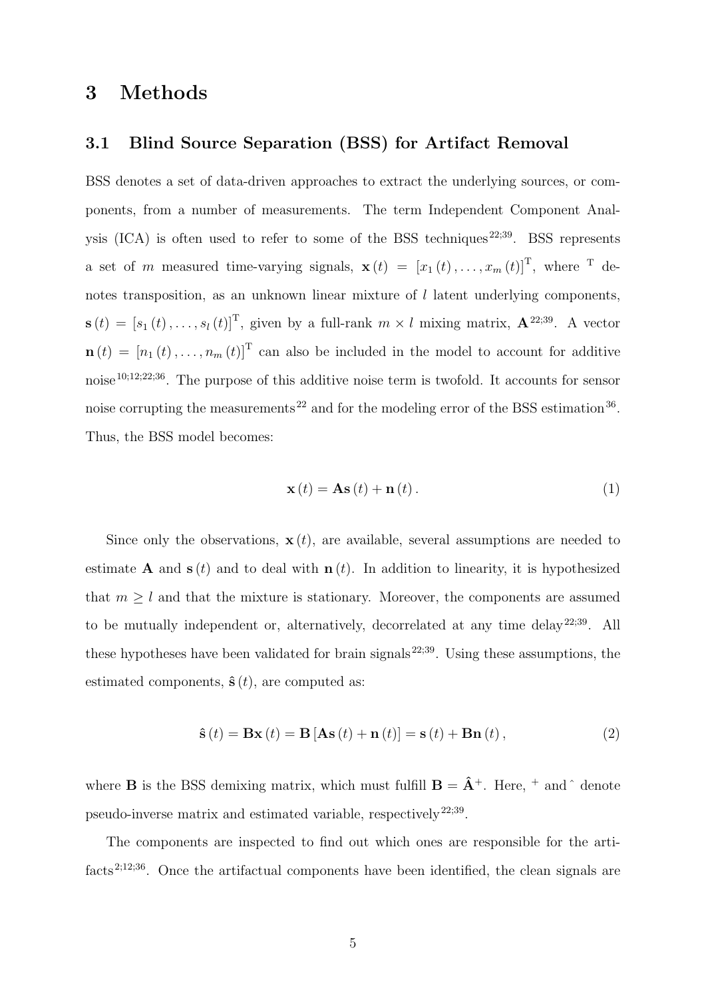## 3 Methods

#### 3.1 Blind Source Separation (BSS) for Artifact Removal

BSS denotes a set of data-driven approaches to extract the underlying sources, or components, from a number of measurements. The term Independent Component Analysis (ICA) is often used to refer to some of the BSS techniques  $2^{2,39}$ . BSS represents a set of m measured time-varying signals,  $\mathbf{x}(t) = [x_1(t), \ldots, x_m(t)]^T$ , where <sup>T</sup> denotes transposition, as an unknown linear mixture of l latent underlying components,  $\mathbf{s}(t) = [s_1(t), \ldots, s_l(t)]^{\mathrm{T}}$ , given by a full-rank  $m \times l$  mixing matrix,  $\mathbf{A}^{22,39}$ . A vector  $\mathbf{n}(t) = [n_1(t), \ldots, n_m(t)]^T$  can also be included in the model to account for additive noise<sup>10,12,22,36</sup>. The purpose of this additive noise term is twofold. It accounts for sensor noise corrupting the measurements<sup>22</sup> and for the modeling error of the BSS estimation<sup>36</sup>. Thus, the BSS model becomes:

$$
\mathbf{x}(t) = \mathbf{A}\mathbf{s}(t) + \mathbf{n}(t). \tag{1}
$$

Since only the observations,  $\mathbf{x}(t)$ , are available, several assumptions are needed to estimate **A** and  $s(t)$  and to deal with  $n(t)$ . In addition to linearity, it is hypothesized that  $m \geq l$  and that the mixture is stationary. Moreover, the components are assumed to be mutually independent or, alternatively, decorrelated at any time delay<sup>22;39</sup>. All these hypotheses have been validated for brain signals  $2^{2,39}$ . Using these assumptions, the estimated components,  $\hat{\mathbf{s}}(t)$ , are computed as:

$$
\hat{\mathbf{s}}(t) = \mathbf{B}\mathbf{x}(t) = \mathbf{B}\left[\mathbf{A}\mathbf{s}(t) + \mathbf{n}(t)\right] = \mathbf{s}(t) + \mathbf{B}\mathbf{n}(t),\tag{2}
$$

where **B** is the BSS demixing matrix, which must fulfill  $\mathbf{B} = \hat{\mathbf{A}}^+$ . Here,  $+$  and  $\hat{}$  denote pseudo-inverse matrix and estimated variable, respectively<sup>22;39</sup>.

The components are inspected to find out which ones are responsible for the artifacts<sup>2;12;36</sup>. Once the artifactual components have been identified, the clean signals are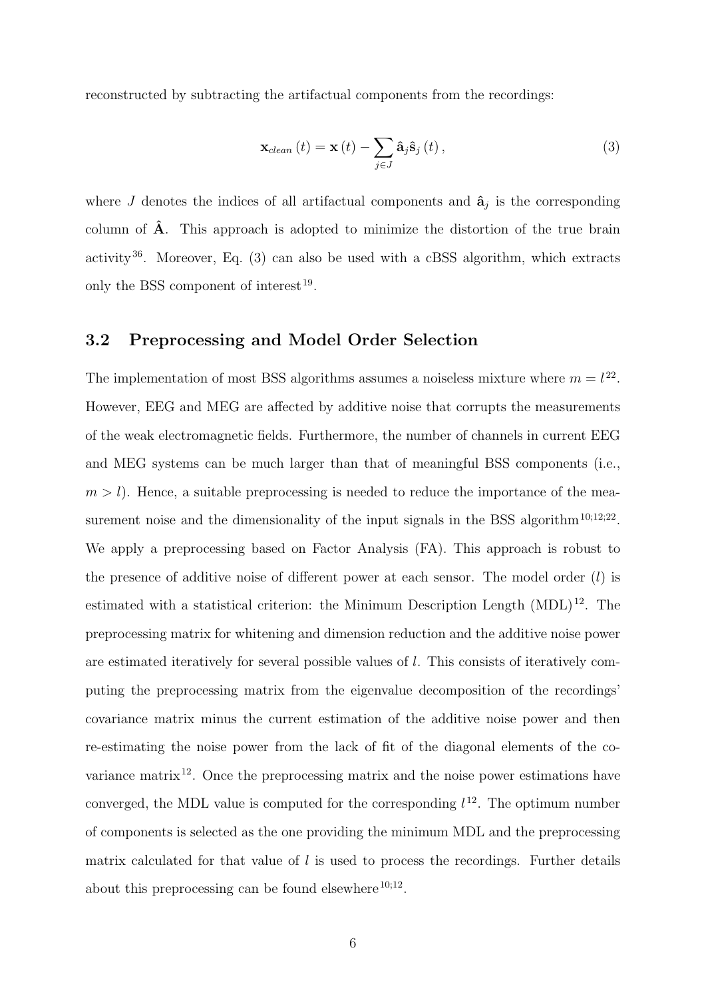reconstructed by subtracting the artifactual components from the recordings:

$$
\mathbf{x}_{clean}(t) = \mathbf{x}(t) - \sum_{j \in J} \hat{\mathbf{a}}_{j} \hat{\mathbf{s}}_{j}(t),
$$
\n(3)

where J denotes the indices of all artifactual components and  $\hat{a}_j$  is the corresponding column of  $\hat{A}$ . This approach is adopted to minimize the distortion of the true brain activity<sup>36</sup>. Moreover, Eq.  $(3)$  can also be used with a cBSS algorithm, which extracts only the BSS component of interest<sup>19</sup>.

#### 3.2 Preprocessing and Model Order Selection

The implementation of most BSS algorithms assumes a noiseless mixture where  $m = l^{22}$ . However, EEG and MEG are affected by additive noise that corrupts the measurements of the weak electromagnetic fields. Furthermore, the number of channels in current EEG and MEG systems can be much larger than that of meaningful BSS components (i.e.,  $m > l$ ). Hence, a suitable preprocessing is needed to reduce the importance of the measurement noise and the dimensionality of the input signals in the BSS algorithm<sup>10;12;22</sup>. We apply a preprocessing based on Factor Analysis (FA). This approach is robust to the presence of additive noise of different power at each sensor. The model order  $(l)$  is estimated with a statistical criterion: the Minimum Description Length  $(MDL)^{12}$ . The preprocessing matrix for whitening and dimension reduction and the additive noise power are estimated iteratively for several possible values of l. This consists of iteratively computing the preprocessing matrix from the eigenvalue decomposition of the recordings' covariance matrix minus the current estimation of the additive noise power and then re-estimating the noise power from the lack of fit of the diagonal elements of the covariance matrix <sup>12</sup>. Once the preprocessing matrix and the noise power estimations have converged, the MDL value is computed for the corresponding  $l^{12}$ . The optimum number of components is selected as the one providing the minimum MDL and the preprocessing matrix calculated for that value of  $l$  is used to process the recordings. Further details about this preprocessing can be found elsewhere  $10;12$ .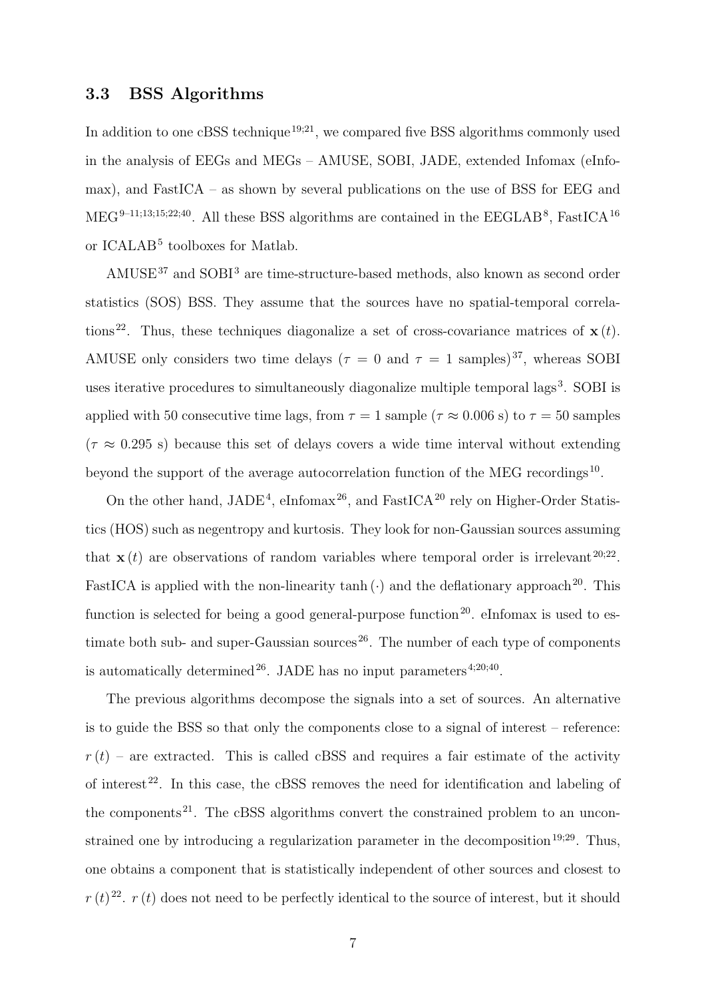#### 3.3 BSS Algorithms

In addition to one cBSS technique<sup>19;21</sup>, we compared five BSS algorithms commonly used in the analysis of EEGs and MEGs – AMUSE, SOBI, JADE, extended Infomax (eInfomax), and FastICA – as shown by several publications on the use of BSS for EEG and  $MEG<sup>9-11;13;15;22;40</sup>$ . All these BSS algorithms are contained in the EEGLAB<sup>8</sup>, FastICA<sup>16</sup> or  $ICALAB<sup>5</sup>$  toolboxes for Matlab.

AMUSE<sup>37</sup> and SOBI<sup>3</sup> are time-structure-based methods, also known as second order statistics (SOS) BSS. They assume that the sources have no spatial-temporal correlations<sup>22</sup>. Thus, these techniques diagonalize a set of cross-covariance matrices of  $\mathbf{x}(t)$ . AMUSE only considers two time delays ( $\tau = 0$  and  $\tau = 1$  samples)<sup>37</sup>, whereas SOBI uses iterative procedures to simultaneously diagonalize multiple temporal lags<sup>3</sup>. SOBI is applied with 50 consecutive time lags, from  $\tau = 1$  sample ( $\tau \approx 0.006$  s) to  $\tau = 50$  samples  $(\tau \approx 0.295 \text{ s})$  because this set of delays covers a wide time interval without extending beyond the support of the average autocorrelation function of the MEG recordings<sup>10</sup>.

On the other hand,  $JADE<sup>4</sup>$ , eInfomax<sup>26</sup>, and FastICA<sup>20</sup> rely on Higher-Order Statistics (HOS) such as negentropy and kurtosis. They look for non-Gaussian sources assuming that  $\mathbf{x}(t)$  are observations of random variables where temporal order is irrelevant  $20,22$ . FastICA is applied with the non-linearity tanh  $\left(\cdot\right)$  and the deflationary approach<sup>20</sup>. This function is selected for being a good general-purpose function<sup>20</sup>. eInfomax is used to estimate both sub- and super-Gaussian sources  $2<sup>6</sup>$ . The number of each type of components is automatically determined  $^{26}$ . JADE has no input parameters  $^{4;20;40}$ .

The previous algorithms decompose the signals into a set of sources. An alternative is to guide the BSS so that only the components close to a signal of interest – reference:  $r(t)$  – are extracted. This is called cBSS and requires a fair estimate of the activity of interest<sup>22</sup>. In this case, the cBSS removes the need for identification and labeling of the components<sup>21</sup>. The cBSS algorithms convert the constrained problem to an unconstrained one by introducing a regularization parameter in the decomposition<sup>19;29</sup>. Thus, one obtains a component that is statistically independent of other sources and closest to  $r(t)^{22}$ .  $r(t)$  does not need to be perfectly identical to the source of interest, but it should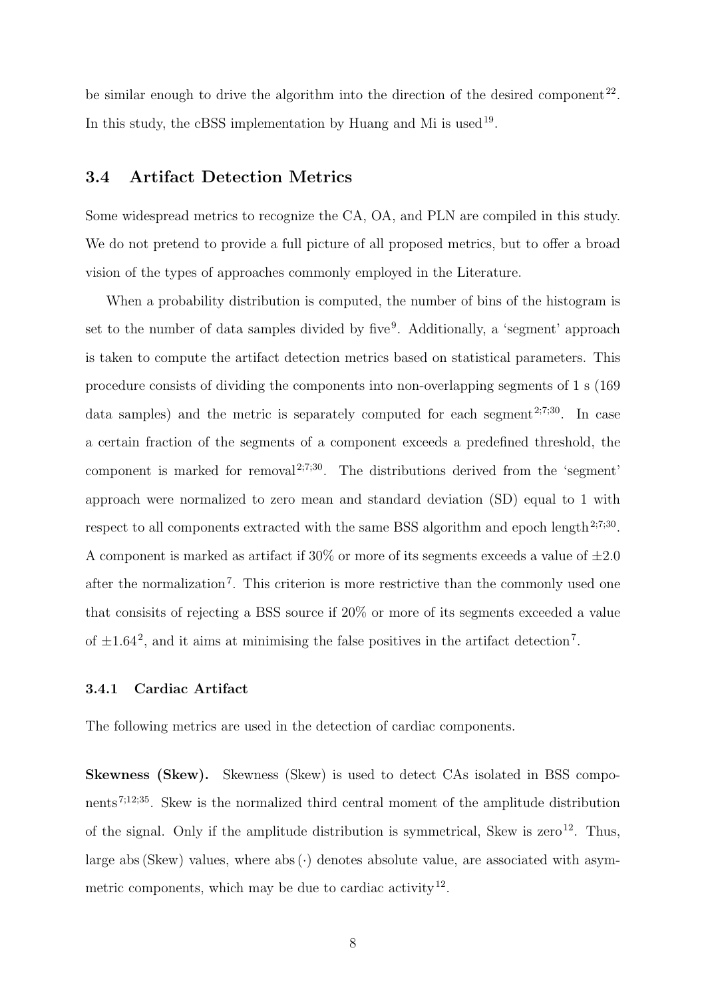be similar enough to drive the algorithm into the direction of the desired component<sup>22</sup>. In this study, the cBSS implementation by Huang and Mi is used  $19$ .

#### 3.4 Artifact Detection Metrics

Some widespread metrics to recognize the CA, OA, and PLN are compiled in this study. We do not pretend to provide a full picture of all proposed metrics, but to offer a broad vision of the types of approaches commonly employed in the Literature.

When a probability distribution is computed, the number of bins of the histogram is set to the number of data samples divided by five<sup>9</sup>. Additionally, a 'segment' approach is taken to compute the artifact detection metrics based on statistical parameters. This procedure consists of dividing the components into non-overlapping segments of 1 s (169 data samples) and the metric is separately computed for each segment  $2,7,30$ . In case a certain fraction of the segments of a component exceeds a predefined threshold, the component is marked for removal  $2,7,30$ . The distributions derived from the 'segment' approach were normalized to zero mean and standard deviation (SD) equal to 1 with respect to all components extracted with the same BSS algorithm and epoch length<sup>2;7;30</sup>. A component is marked as artifact if  $30\%$  or more of its segments exceeds a value of  $\pm 2.0$ after the normalization<sup>7</sup>. This criterion is more restrictive than the commonly used one that consisits of rejecting a BSS source if 20% or more of its segments exceeded a value of  $\pm 1.64^2$ , and it aims at minimising the false positives in the artifact detection<sup>7</sup>.

#### 3.4.1 Cardiac Artifact

The following metrics are used in the detection of cardiac components.

Skewness (Skew). Skewness (Skew) is used to detect CAs isolated in BSS components<sup> $7;12;35$ </sup>. Skew is the normalized third central moment of the amplitude distribution of the signal. Only if the amplitude distribution is symmetrical, Skew is zero<sup>12</sup>. Thus, large abs (Skew) values, where abs  $(\cdot)$  denotes absolute value, are associated with asymmetric components, which may be due to cardiac activity<sup>12</sup>.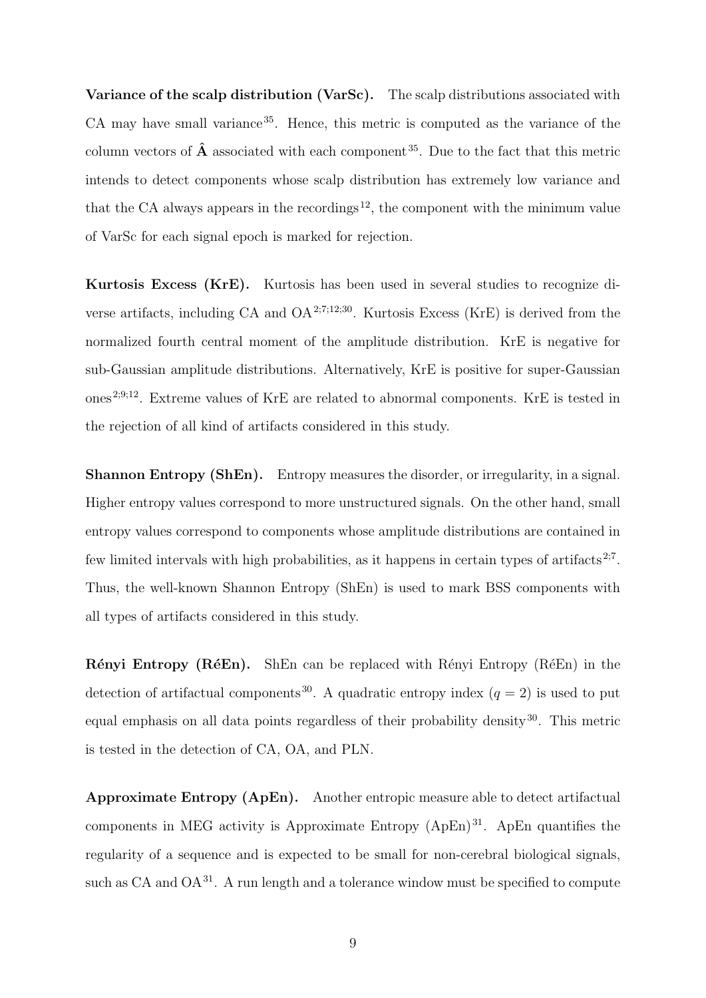Variance of the scalp distribution (VarSc). The scalp distributions associated with CA may have small variance <sup>35</sup>. Hence, this metric is computed as the variance of the column vectors of  $\hat{A}$  associated with each component <sup>35</sup>. Due to the fact that this metric intends to detect components whose scalp distribution has extremely low variance and that the CA always appears in the recordings  $12$ , the component with the minimum value of VarSc for each signal epoch is marked for rejection.

Kurtosis Excess (KrE). Kurtosis has been used in several studies to recognize diverse artifacts, including CA and  $OA^{2,7,12,30}$ . Kurtosis Excess (KrE) is derived from the normalized fourth central moment of the amplitude distribution. KrE is negative for sub-Gaussian amplitude distributions. Alternatively, KrE is positive for super-Gaussian ones<sup>2;9;12</sup>. Extreme values of KrE are related to abnormal components. KrE is tested in the rejection of all kind of artifacts considered in this study.

Shannon Entropy (ShEn). Entropy measures the disorder, or irregularity, in a signal. Higher entropy values correspond to more unstructured signals. On the other hand, small entropy values correspond to components whose amplitude distributions are contained in few limited intervals with high probabilities, as it happens in certain types of artifacts<sup>2;7</sup>. Thus, the well-known Shannon Entropy (ShEn) is used to mark BSS components with all types of artifacts considered in this study.

Rényi Entropy (RéEn). ShEn can be replaced with Rényi Entropy (RéEn) in the detection of artifactual components<sup>30</sup>. A quadratic entropy index ( $q = 2$ ) is used to put equal emphasis on all data points regardless of their probability density <sup>30</sup>. This metric is tested in the detection of CA, OA, and PLN.

Approximate Entropy (ApEn). Another entropic measure able to detect artifactual components in MEG activity is Approximate Entropy  $(ApEn)^{31}$ . ApEn quantifies the regularity of a sequence and is expected to be small for non-cerebral biological signals, such as  $CA$  and  $OA^{31}$ . A run length and a tolerance window must be specified to compute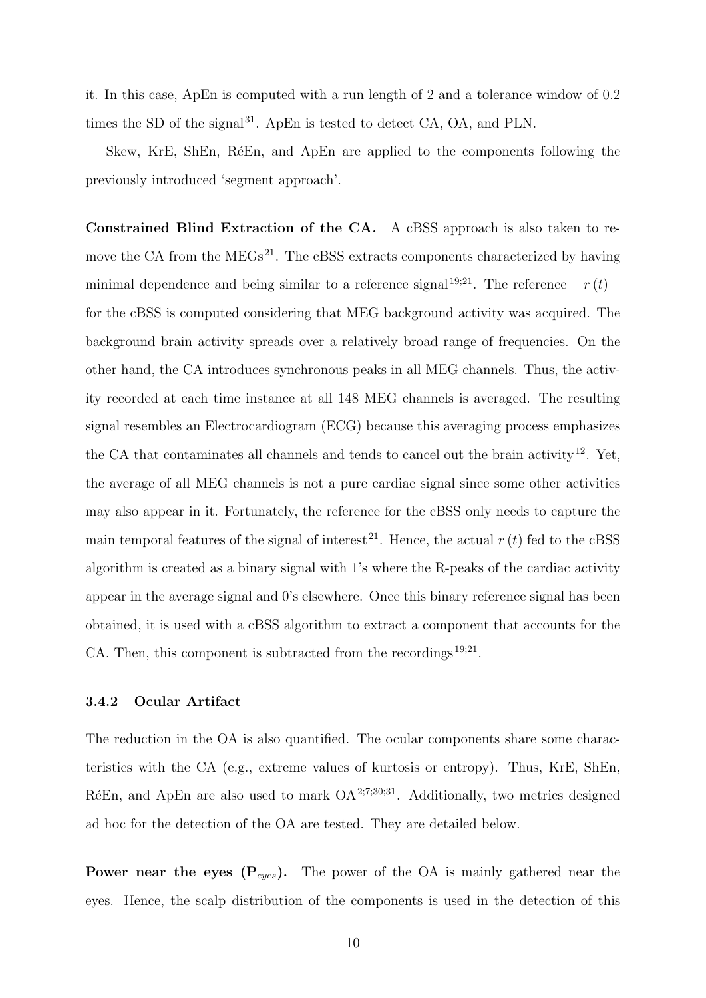it. In this case, ApEn is computed with a run length of 2 and a tolerance window of 0.2 times the SD of the signal<sup>31</sup>. ApEn is tested to detect CA, OA, and PLN.

Skew, KrE, ShEn, RéEn, and ApEn are applied to the components following the previously introduced 'segment approach'.

Constrained Blind Extraction of the CA. A cBSS approach is also taken to remove the CA from the  $MEGs^{21}$ . The cBSS extracts components characterized by having minimal dependence and being similar to a reference signal  $19;21$ . The reference – r (t) – for the cBSS is computed considering that MEG background activity was acquired. The background brain activity spreads over a relatively broad range of frequencies. On the other hand, the CA introduces synchronous peaks in all MEG channels. Thus, the activity recorded at each time instance at all 148 MEG channels is averaged. The resulting signal resembles an Electrocardiogram (ECG) because this averaging process emphasizes the CA that contaminates all channels and tends to cancel out the brain activity  $^{12}$ . Yet, the average of all MEG channels is not a pure cardiac signal since some other activities may also appear in it. Fortunately, the reference for the cBSS only needs to capture the main temporal features of the signal of interest<sup>21</sup>. Hence, the actual  $r(t)$  fed to the cBSS algorithm is created as a binary signal with 1's where the R-peaks of the cardiac activity appear in the average signal and 0's elsewhere. Once this binary reference signal has been obtained, it is used with a cBSS algorithm to extract a component that accounts for the CA. Then, this component is subtracted from the recordings<sup>19;21</sup>.

#### 3.4.2 Ocular Artifact

The reduction in the OA is also quantified. The ocular components share some characteristics with the CA (e.g., extreme values of kurtosis or entropy). Thus, KrE, ShEn, RéEn, and ApEn are also used to mark  $OA^{2,7,30;31}$ . Additionally, two metrics designed ad hoc for the detection of the OA are tested. They are detailed below.

**Power near the eyes (** $P_{eyes}$ **).** The power of the OA is mainly gathered near the eyes. Hence, the scalp distribution of the components is used in the detection of this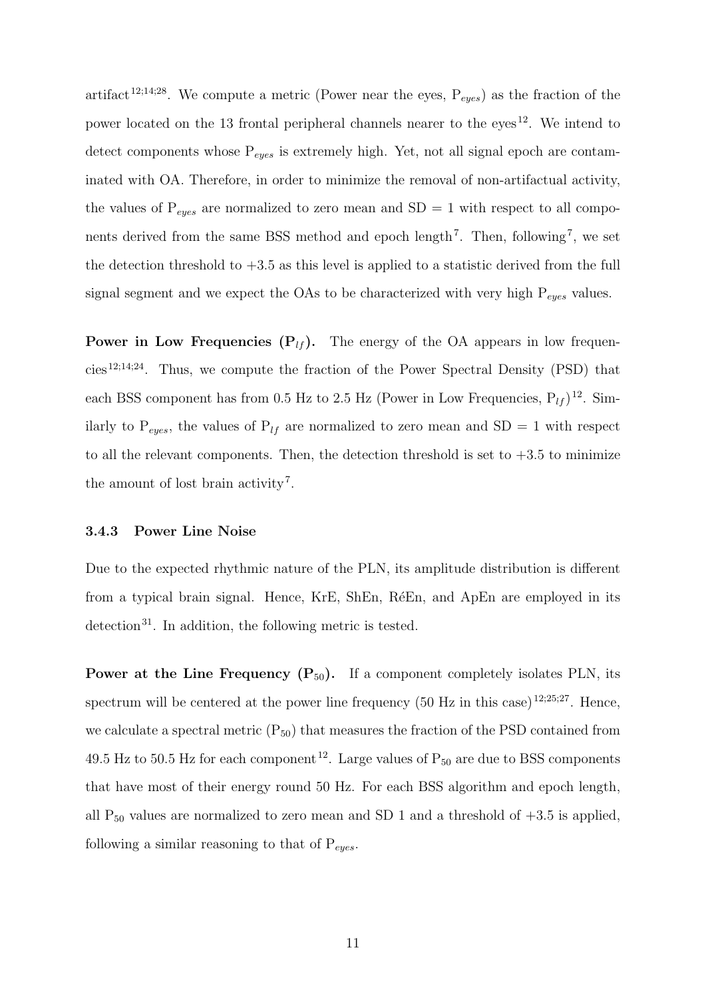artifact<sup>12;14;28</sup>. We compute a metric (Power near the eyes,  $P_{eyes}$ ) as the fraction of the power located on the 13 frontal peripheral channels nearer to the eyes  $12$ . We intend to detect components whose  $P_{eyes}$  is extremely high. Yet, not all signal epoch are contaminated with OA. Therefore, in order to minimize the removal of non-artifactual activity, the values of  $P_{eyes}$  are normalized to zero mean and  $SD = 1$  with respect to all components derived from the same BSS method and epoch length<sup>7</sup>. Then, following<sup>7</sup>, we set the detection threshold to  $+3.5$  as this level is applied to a statistic derived from the full signal segment and we expect the OAs to be characterized with very high  $P_{eyes}$  values.

**Power in Low Frequencies (P<sub>lf</sub>).** The energy of the OA appears in low frequen $cies^{12;14;24}$ . Thus, we compute the fraction of the Power Spectral Density (PSD) that each BSS component has from 0.5 Hz to 2.5 Hz (Power in Low Frequencies,  $P_{lf}$ )<sup>12</sup>. Similarly to P<sub>eyes</sub>, the values of P<sub>lf</sub> are normalized to zero mean and  $SD = 1$  with respect to all the relevant components. Then, the detection threshold is set to  $+3.5$  to minimize the amount of lost brain activity<sup>7</sup>.

#### 3.4.3 Power Line Noise

Due to the expected rhythmic nature of the PLN, its amplitude distribution is different from a typical brain signal. Hence, KrE, ShEn, RéEn, and ApEn are employed in its  $detection<sup>31</sup>$ . In addition, the following metric is tested.

**Power at the Line Frequency (P<sub>50</sub>).** If a component completely isolates PLN, its spectrum will be centered at the power line frequency  $(50 \text{ Hz in this case})^{12;25;27}$ . Hence, we calculate a spectral metric  $(P_{50})$  that measures the fraction of the PSD contained from 49.5 Hz to 50.5 Hz for each component<sup>12</sup>. Large values of  $P_{50}$  are due to BSS components that have most of their energy round 50 Hz. For each BSS algorithm and epoch length, all  $P_{50}$  values are normalized to zero mean and SD 1 and a threshold of  $+3.5$  is applied, following a similar reasoning to that of  $P_{eves}$ .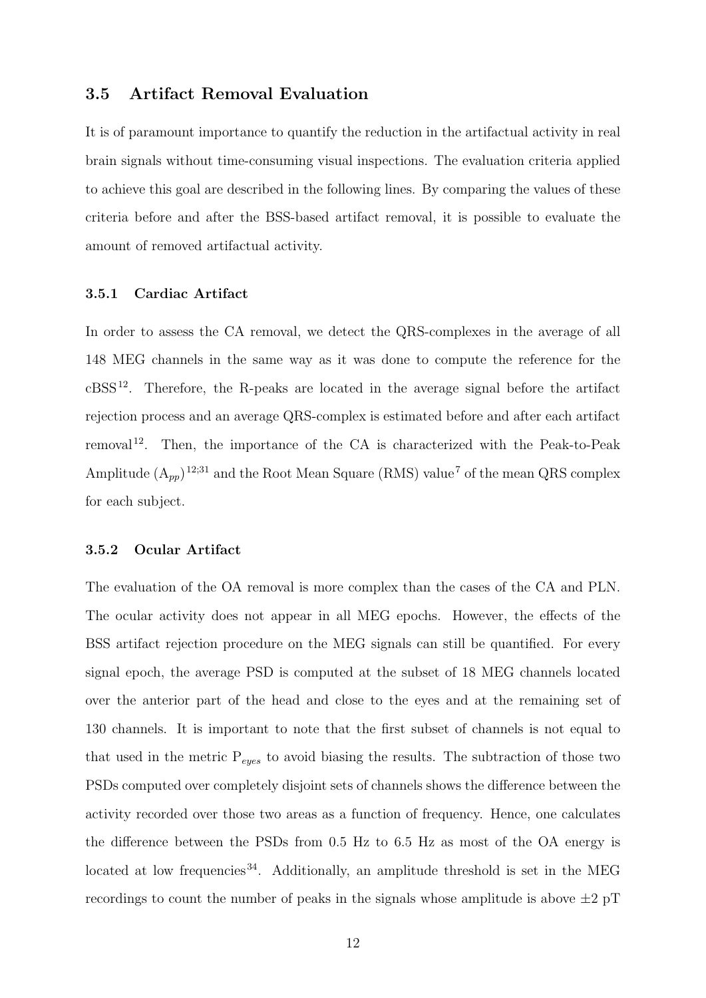#### 3.5 Artifact Removal Evaluation

It is of paramount importance to quantify the reduction in the artifactual activity in real brain signals without time-consuming visual inspections. The evaluation criteria applied to achieve this goal are described in the following lines. By comparing the values of these criteria before and after the BSS-based artifact removal, it is possible to evaluate the amount of removed artifactual activity.

#### 3.5.1 Cardiac Artifact

In order to assess the CA removal, we detect the QRS-complexes in the average of all 148 MEG channels in the same way as it was done to compute the reference for the  $cBSS<sup>12</sup>$ . Therefore, the R-peaks are located in the average signal before the artifact rejection process and an average QRS-complex is estimated before and after each artifact removal<sup>12</sup>. Then, the importance of the CA is characterized with the Peak-to-Peak Amplitude  $(A_{pp})^{12;31}$  and the Root Mean Square (RMS) value<sup>7</sup> of the mean QRS complex for each subject.

#### 3.5.2 Ocular Artifact

The evaluation of the OA removal is more complex than the cases of the CA and PLN. The ocular activity does not appear in all MEG epochs. However, the effects of the BSS artifact rejection procedure on the MEG signals can still be quantified. For every signal epoch, the average PSD is computed at the subset of 18 MEG channels located over the anterior part of the head and close to the eyes and at the remaining set of 130 channels. It is important to note that the first subset of channels is not equal to that used in the metric  $P_{eyes}$  to avoid biasing the results. The subtraction of those two PSDs computed over completely disjoint sets of channels shows the difference between the activity recorded over those two areas as a function of frequency. Hence, one calculates the difference between the PSDs from 0.5 Hz to 6.5 Hz as most of the OA energy is located at low frequencies  $34$ . Additionally, an amplitude threshold is set in the MEG recordings to count the number of peaks in the signals whose amplitude is above  $\pm 2$  pT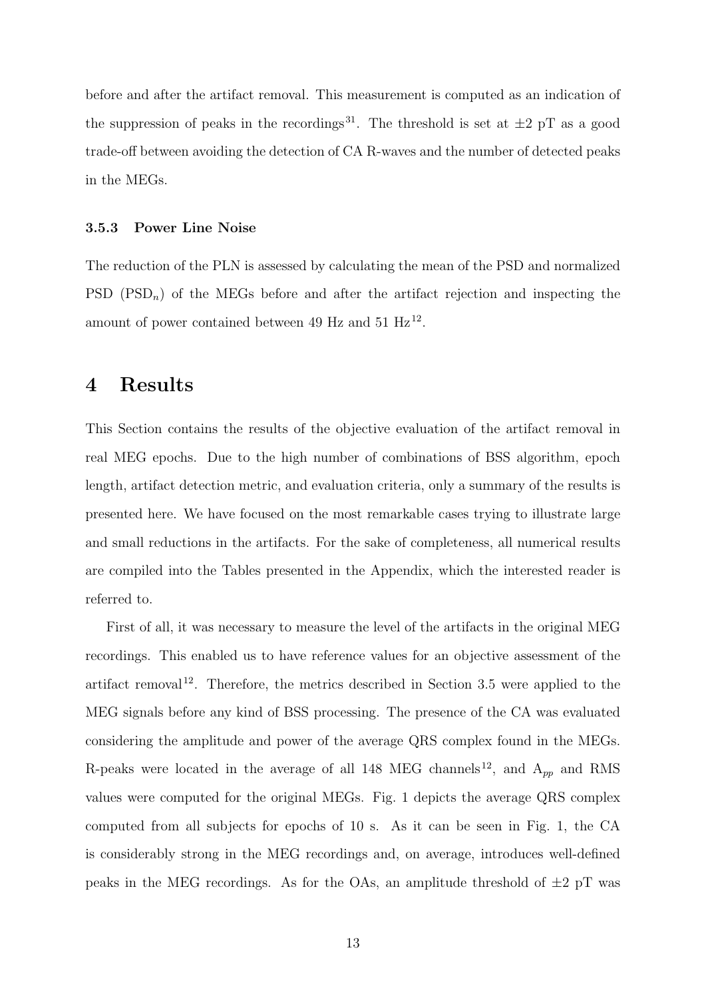before and after the artifact removal. This measurement is computed as an indication of the suppression of peaks in the recordings<sup>31</sup>. The threshold is set at  $\pm 2$  pT as a good trade-off between avoiding the detection of CA R-waves and the number of detected peaks in the MEGs.

#### 3.5.3 Power Line Noise

The reduction of the PLN is assessed by calculating the mean of the PSD and normalized PSD  $(PSD_n)$  of the MEGs before and after the artifact rejection and inspecting the amount of power contained between 49 Hz and 51  $Hz^{12}$ .

### 4 Results

This Section contains the results of the objective evaluation of the artifact removal in real MEG epochs. Due to the high number of combinations of BSS algorithm, epoch length, artifact detection metric, and evaluation criteria, only a summary of the results is presented here. We have focused on the most remarkable cases trying to illustrate large and small reductions in the artifacts. For the sake of completeness, all numerical results are compiled into the Tables presented in the Appendix, which the interested reader is referred to.

First of all, it was necessary to measure the level of the artifacts in the original MEG recordings. This enabled us to have reference values for an objective assessment of the artifact removal<sup>12</sup>. Therefore, the metrics described in Section 3.5 were applied to the MEG signals before any kind of BSS processing. The presence of the CA was evaluated considering the amplitude and power of the average QRS complex found in the MEGs. R-peaks were located in the average of all 148 MEG channels<sup>12</sup>, and  $A_{pp}$  and RMS values were computed for the original MEGs. Fig. 1 depicts the average QRS complex computed from all subjects for epochs of 10 s. As it can be seen in Fig. 1, the CA is considerably strong in the MEG recordings and, on average, introduces well-defined peaks in the MEG recordings. As for the OAs, an amplitude threshold of  $\pm 2$  pT was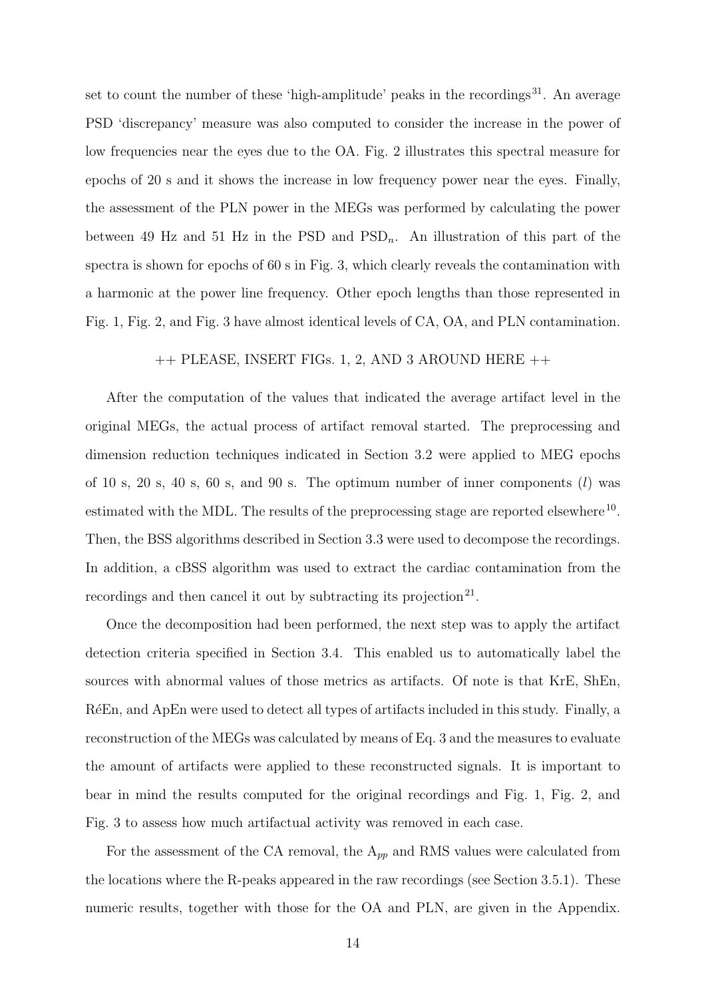set to count the number of these 'high-amplitude' peaks in the recordings<sup>31</sup>. An average PSD 'discrepancy' measure was also computed to consider the increase in the power of low frequencies near the eyes due to the OA. Fig. 2 illustrates this spectral measure for epochs of 20 s and it shows the increase in low frequency power near the eyes. Finally, the assessment of the PLN power in the MEGs was performed by calculating the power between 49 Hz and 51 Hz in the PSD and  $PSD_n$ . An illustration of this part of the spectra is shown for epochs of 60 s in Fig. 3, which clearly reveals the contamination with a harmonic at the power line frequency. Other epoch lengths than those represented in Fig. 1, Fig. 2, and Fig. 3 have almost identical levels of CA, OA, and PLN contamination.

#### $++$  PLEASE, INSERT FIGs. 1, 2, AND 3 AROUND HERE  $++$

After the computation of the values that indicated the average artifact level in the original MEGs, the actual process of artifact removal started. The preprocessing and dimension reduction techniques indicated in Section 3.2 were applied to MEG epochs of 10 s, 20 s, 40 s, 60 s, and 90 s. The optimum number of inner components  $(l)$  was estimated with the MDL. The results of the preprocessing stage are reported elsewhere<sup>10</sup>. Then, the BSS algorithms described in Section 3.3 were used to decompose the recordings. In addition, a cBSS algorithm was used to extract the cardiac contamination from the recordings and then cancel it out by subtracting its projection<sup>21</sup>.

Once the decomposition had been performed, the next step was to apply the artifact detection criteria specified in Section 3.4. This enabled us to automatically label the sources with abnormal values of those metrics as artifacts. Of note is that KrE, ShEn, R<sup> $\epsilon$ En</sup>, and ApEn were used to detect all types of artifacts included in this study. Finally, a reconstruction of the MEGs was calculated by means of Eq. 3 and the measures to evaluate the amount of artifacts were applied to these reconstructed signals. It is important to bear in mind the results computed for the original recordings and Fig. 1, Fig. 2, and Fig. 3 to assess how much artifactual activity was removed in each case.

For the assessment of the CA removal, the  $A_{pp}$  and RMS values were calculated from the locations where the R-peaks appeared in the raw recordings (see Section 3.5.1). These numeric results, together with those for the OA and PLN, are given in the Appendix.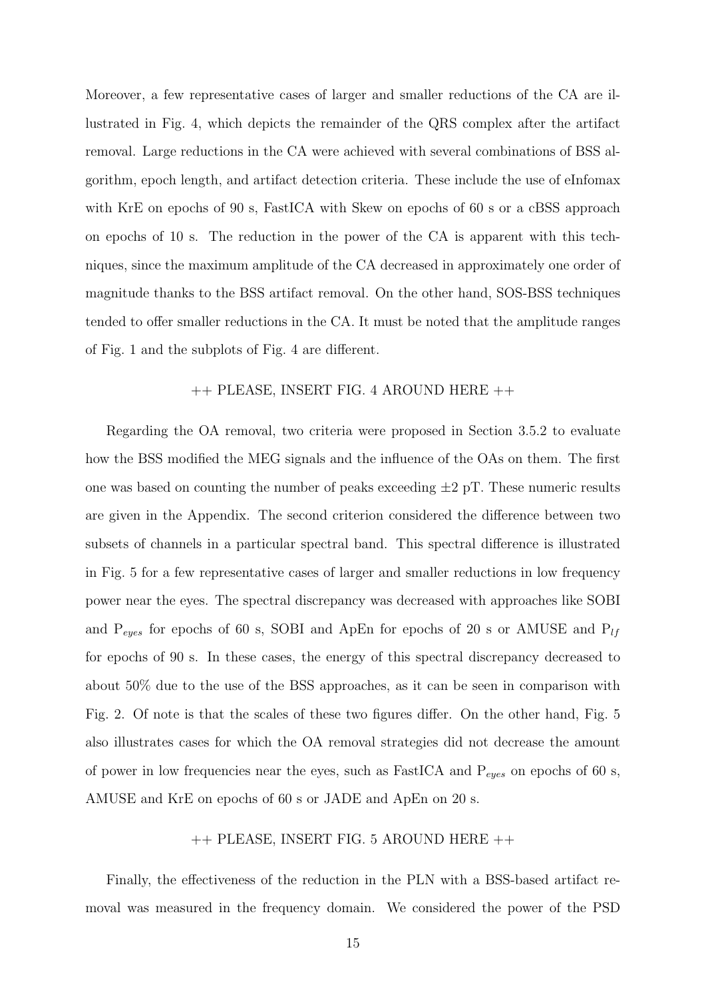Moreover, a few representative cases of larger and smaller reductions of the CA are illustrated in Fig. 4, which depicts the remainder of the QRS complex after the artifact removal. Large reductions in the CA were achieved with several combinations of BSS algorithm, epoch length, and artifact detection criteria. These include the use of eInfomax with KrE on epochs of 90 s, FastICA with Skew on epochs of 60 s or a cBSS approach on epochs of 10 s. The reduction in the power of the CA is apparent with this techniques, since the maximum amplitude of the CA decreased in approximately one order of magnitude thanks to the BSS artifact removal. On the other hand, SOS-BSS techniques tended to offer smaller reductions in the CA. It must be noted that the amplitude ranges of Fig. 1 and the subplots of Fig. 4 are different.

#### ++ PLEASE, INSERT FIG. 4 AROUND HERE ++

Regarding the OA removal, two criteria were proposed in Section 3.5.2 to evaluate how the BSS modified the MEG signals and the influence of the OAs on them. The first one was based on counting the number of peaks exceeding  $\pm 2$  pT. These numeric results are given in the Appendix. The second criterion considered the difference between two subsets of channels in a particular spectral band. This spectral difference is illustrated in Fig. 5 for a few representative cases of larger and smaller reductions in low frequency power near the eyes. The spectral discrepancy was decreased with approaches like SOBI and  $P_{eyes}$  for epochs of 60 s, SOBI and ApEn for epochs of 20 s or AMUSE and  $P_{lf}$ for epochs of 90 s. In these cases, the energy of this spectral discrepancy decreased to about 50% due to the use of the BSS approaches, as it can be seen in comparison with Fig. 2. Of note is that the scales of these two figures differ. On the other hand, Fig. 5 also illustrates cases for which the OA removal strategies did not decrease the amount of power in low frequencies near the eyes, such as FastICA and  $P_{eyes}$  on epochs of 60 s, AMUSE and KrE on epochs of 60 s or JADE and ApEn on 20 s.

++ PLEASE, INSERT FIG. 5 AROUND HERE ++

Finally, the effectiveness of the reduction in the PLN with a BSS-based artifact removal was measured in the frequency domain. We considered the power of the PSD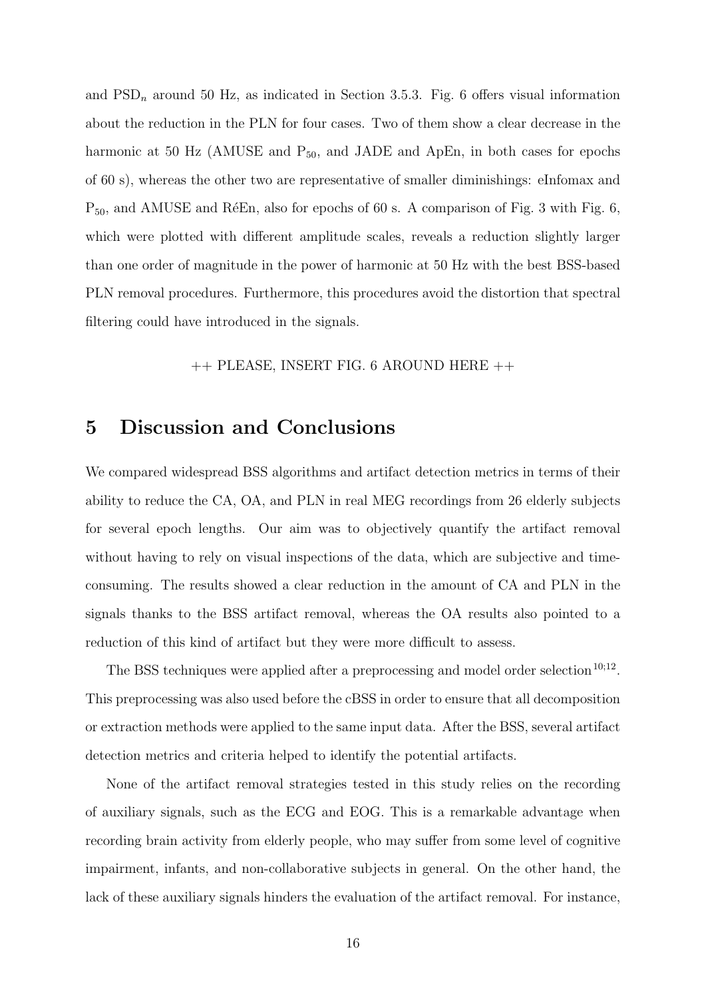and  $PSD_n$  around 50 Hz, as indicated in Section 3.5.3. Fig. 6 offers visual information about the reduction in the PLN for four cases. Two of them show a clear decrease in the harmonic at 50 Hz (AMUSE and  $P_{50}$ , and JADE and ApEn, in both cases for epochs of 60 s), whereas the other two are representative of smaller diminishings: eInfomax and  $P_{50}$ , and AMUSE and RéEn, also for epochs of 60 s. A comparison of Fig. 3 with Fig. 6, which were plotted with different amplitude scales, reveals a reduction slightly larger than one order of magnitude in the power of harmonic at 50 Hz with the best BSS-based PLN removal procedures. Furthermore, this procedures avoid the distortion that spectral filtering could have introduced in the signals.

 $++$  PLEASE, INSERT FIG. 6 AROUND HERE  $++$ 

## 5 Discussion and Conclusions

We compared widespread BSS algorithms and artifact detection metrics in terms of their ability to reduce the CA, OA, and PLN in real MEG recordings from 26 elderly subjects for several epoch lengths. Our aim was to objectively quantify the artifact removal without having to rely on visual inspections of the data, which are subjective and timeconsuming. The results showed a clear reduction in the amount of CA and PLN in the signals thanks to the BSS artifact removal, whereas the OA results also pointed to a reduction of this kind of artifact but they were more difficult to assess.

The BSS techniques were applied after a preprocessing and model order selection  $10;12$ . This preprocessing was also used before the cBSS in order to ensure that all decomposition or extraction methods were applied to the same input data. After the BSS, several artifact detection metrics and criteria helped to identify the potential artifacts.

None of the artifact removal strategies tested in this study relies on the recording of auxiliary signals, such as the ECG and EOG. This is a remarkable advantage when recording brain activity from elderly people, who may suffer from some level of cognitive impairment, infants, and non-collaborative subjects in general. On the other hand, the lack of these auxiliary signals hinders the evaluation of the artifact removal. For instance,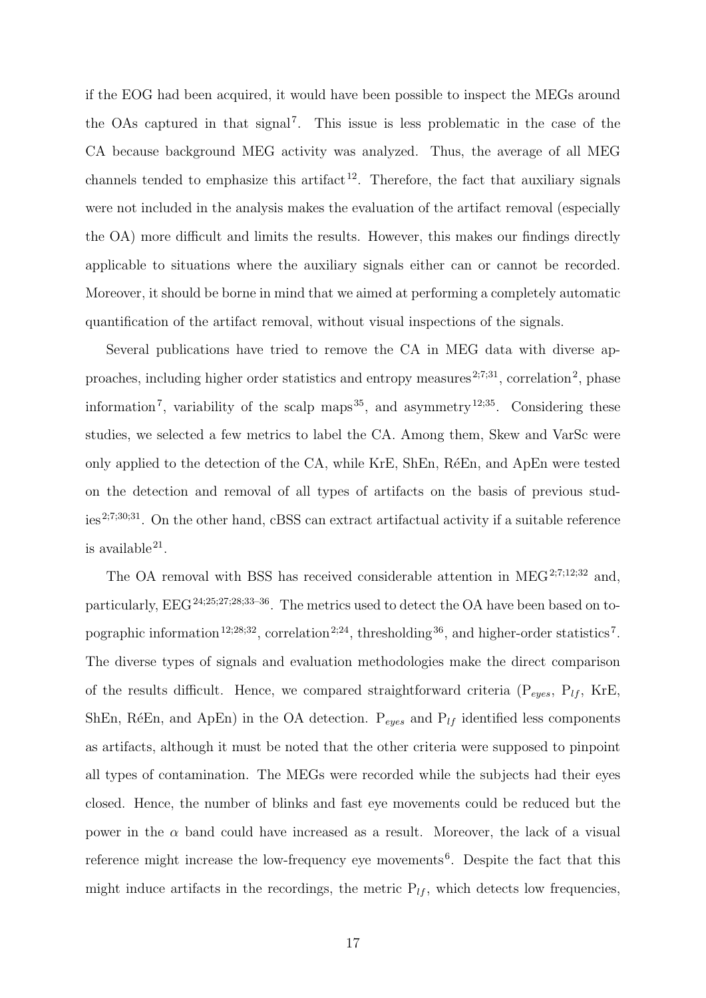if the EOG had been acquired, it would have been possible to inspect the MEGs around the OAs captured in that signal<sup>7</sup>. This issue is less problematic in the case of the CA because background MEG activity was analyzed. Thus, the average of all MEG channels tended to emphasize this artifact<sup>12</sup>. Therefore, the fact that auxiliary signals were not included in the analysis makes the evaluation of the artifact removal (especially the OA) more difficult and limits the results. However, this makes our findings directly applicable to situations where the auxiliary signals either can or cannot be recorded. Moreover, it should be borne in mind that we aimed at performing a completely automatic quantification of the artifact removal, without visual inspections of the signals.

Several publications have tried to remove the CA in MEG data with diverse approaches, including higher order statistics and entropy measures<sup>2;7;31</sup>, correlation<sup>2</sup>, phase information<sup>7</sup>, variability of the scalp maps<sup>35</sup>, and asymmetry<sup>12;35</sup>. Considering these studies, we selected a few metrics to label the CA. Among them, Skew and VarSc were only applied to the detection of the CA, while KrE, ShEn, RéEn, and ApEn were tested on the detection and removal of all types of artifacts on the basis of previous studies<sup>2;7;30;31</sup>. On the other hand, cBSS can extract artifactual activity if a suitable reference is available  $21$ .

The OA removal with BSS has received considerable attention in MEG<sup>2;7;12;32</sup> and, particularly, EEG<sup>24;25;27;28;33-36</sup>. The metrics used to detect the OA have been based on topographic information<sup>12,28,32</sup>, correlation<sup>2,24</sup>, thresholding<sup>36</sup>, and higher-order statistics<sup>7</sup>. The diverse types of signals and evaluation methodologies make the direct comparison of the results difficult. Hence, we compared straightforward criteria ( $P_{eyes}$ ,  $P_{lf}$ , KrE, ShEn, RéEn, and ApEn) in the OA detection.  $P_{eyes}$  and  $P_{lf}$  identified less components as artifacts, although it must be noted that the other criteria were supposed to pinpoint all types of contamination. The MEGs were recorded while the subjects had their eyes closed. Hence, the number of blinks and fast eye movements could be reduced but the power in the  $\alpha$  band could have increased as a result. Moreover, the lack of a visual reference might increase the low-frequency eye movements<sup>6</sup>. Despite the fact that this might induce artifacts in the recordings, the metric  $P_{lf}$ , which detects low frequencies,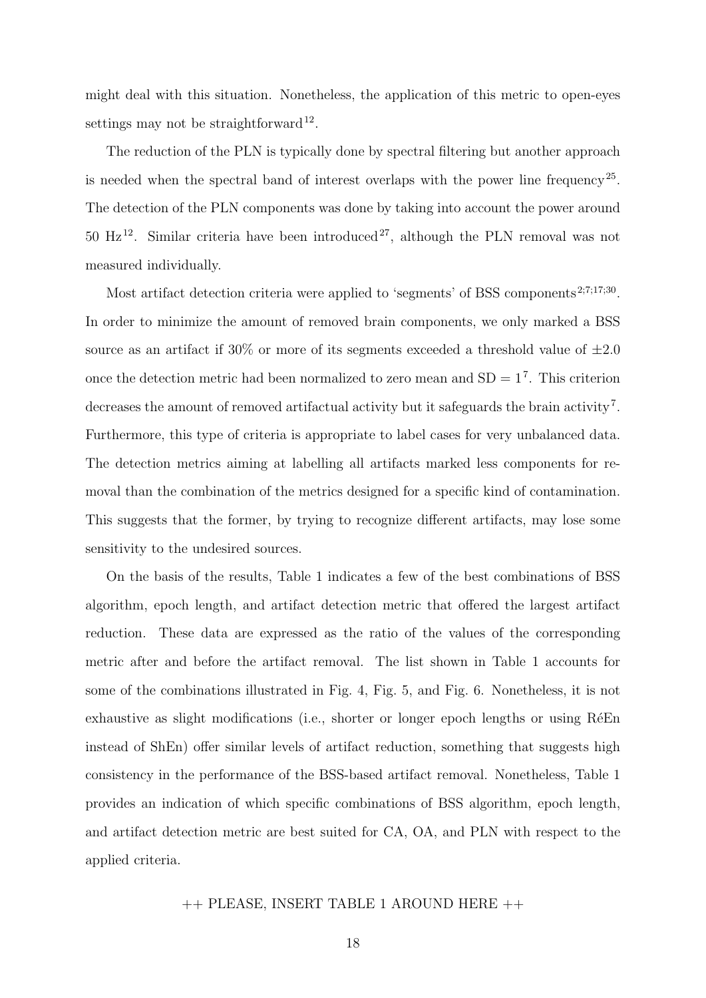might deal with this situation. Nonetheless, the application of this metric to open-eyes settings may not be straightforward<sup>12</sup>.

The reduction of the PLN is typically done by spectral filtering but another approach is needed when the spectral band of interest overlaps with the power line frequency<sup>25</sup>. The detection of the PLN components was done by taking into account the power around 50  $Hz^{12}$ . Similar criteria have been introduced<sup>27</sup>, although the PLN removal was not measured individually.

Most artifact detection criteria were applied to 'segments' of BSS components<sup>2,7,17,30</sup>. In order to minimize the amount of removed brain components, we only marked a BSS source as an artifact if  $30\%$  or more of its segments exceeded a threshold value of  $\pm 2.0$ once the detection metric had been normalized to zero mean and  $SD = 1<sup>7</sup>$ . This criterion decreases the amount of removed artifactual activity but it safeguards the brain activity<sup>7</sup>. Furthermore, this type of criteria is appropriate to label cases for very unbalanced data. The detection metrics aiming at labelling all artifacts marked less components for removal than the combination of the metrics designed for a specific kind of contamination. This suggests that the former, by trying to recognize different artifacts, may lose some sensitivity to the undesired sources.

On the basis of the results, Table 1 indicates a few of the best combinations of BSS algorithm, epoch length, and artifact detection metric that offered the largest artifact reduction. These data are expressed as the ratio of the values of the corresponding metric after and before the artifact removal. The list shown in Table 1 accounts for some of the combinations illustrated in Fig. 4, Fig. 5, and Fig. 6. Nonetheless, it is not exhaustive as slight modifications (i.e., shorter or longer epoch lengths or using RéEn instead of ShEn) offer similar levels of artifact reduction, something that suggests high consistency in the performance of the BSS-based artifact removal. Nonetheless, Table 1 provides an indication of which specific combinations of BSS algorithm, epoch length, and artifact detection metric are best suited for CA, OA, and PLN with respect to the applied criteria.

++ PLEASE, INSERT TABLE 1 AROUND HERE ++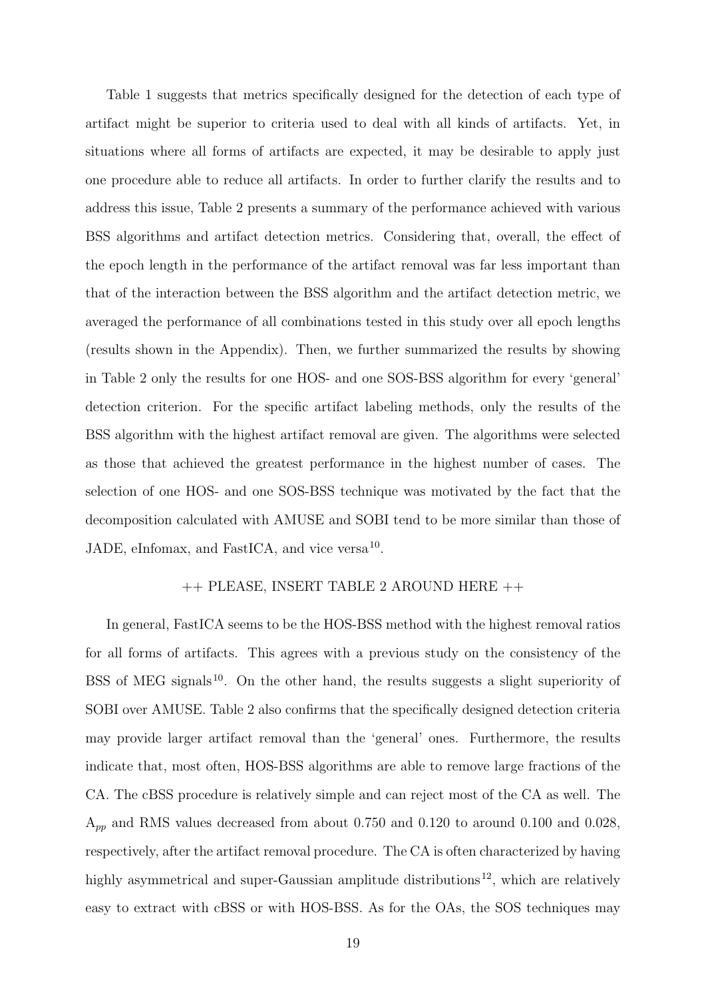Table 1 suggests that metrics specifically designed for the detection of each type of artifact might be superior to criteria used to deal with all kinds of artifacts. Yet, in situations where all forms of artifacts are expected, it may be desirable to apply just one procedure able to reduce all artifacts. In order to further clarify the results and to address this issue, Table 2 presents a summary of the performance achieved with various BSS algorithms and artifact detection metrics. Considering that, overall, the effect of the epoch length in the performance of the artifact removal was far less important than that of the interaction between the BSS algorithm and the artifact detection metric, we averaged the performance of all combinations tested in this study over all epoch lengths (results shown in the Appendix). Then, we further summarized the results by showing in Table 2 only the results for one HOS- and one SOS-BSS algorithm for every 'general' detection criterion. For the specific artifact labeling methods, only the results of the BSS algorithm with the highest artifact removal are given. The algorithms were selected as those that achieved the greatest performance in the highest number of cases. The selection of one HOS- and one SOS-BSS technique was motivated by the fact that the decomposition calculated with AMUSE and SOBI tend to be more similar than those of JADE, eInfomax, and FastICA, and vice versa<sup>10</sup>.

#### ++ PLEASE, INSERT TABLE 2 AROUND HERE ++

In general, FastICA seems to be the HOS-BSS method with the highest removal ratios for all forms of artifacts. This agrees with a previous study on the consistency of the BSS of MEG signals<sup>10</sup>. On the other hand, the results suggests a slight superiority of SOBI over AMUSE. Table 2 also confirms that the specifically designed detection criteria may provide larger artifact removal than the 'general' ones. Furthermore, the results indicate that, most often, HOS-BSS algorithms are able to remove large fractions of the CA. The cBSS procedure is relatively simple and can reject most of the CA as well. The  $A_{pp}$  and RMS values decreased from about 0.750 and 0.120 to around 0.100 and 0.028, respectively, after the artifact removal procedure. The CA is often characterized by having highly asymmetrical and super-Gaussian amplitude distributions<sup>12</sup>, which are relatively easy to extract with cBSS or with HOS-BSS. As for the OAs, the SOS techniques may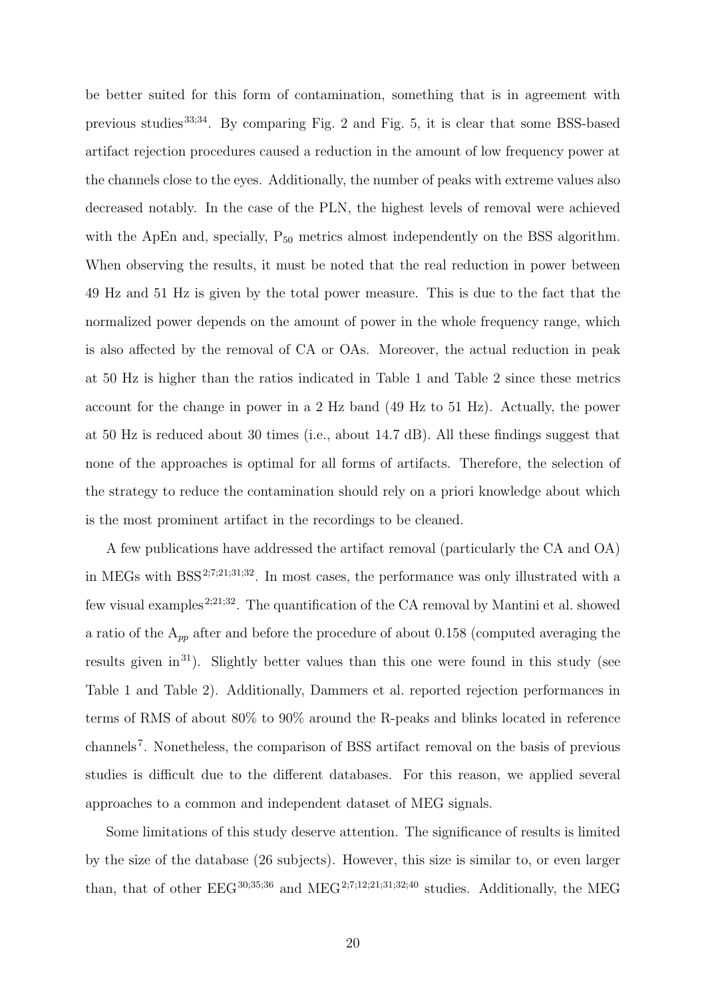be better suited for this form of contamination, something that is in agreement with previous studies  $33;34$ . By comparing Fig. 2 and Fig. 5, it is clear that some BSS-based artifact rejection procedures caused a reduction in the amount of low frequency power at the channels close to the eyes. Additionally, the number of peaks with extreme values also decreased notably. In the case of the PLN, the highest levels of removal were achieved with the ApEn and, specially,  $P_{50}$  metrics almost independently on the BSS algorithm. When observing the results, it must be noted that the real reduction in power between 49 Hz and 51 Hz is given by the total power measure. This is due to the fact that the normalized power depends on the amount of power in the whole frequency range, which is also affected by the removal of CA or OAs. Moreover, the actual reduction in peak at 50 Hz is higher than the ratios indicated in Table 1 and Table 2 since these metrics account for the change in power in a 2 Hz band (49 Hz to 51 Hz). Actually, the power at 50 Hz is reduced about 30 times (i.e., about 14.7 dB). All these findings suggest that none of the approaches is optimal for all forms of artifacts. Therefore, the selection of the strategy to reduce the contamination should rely on a priori knowledge about which is the most prominent artifact in the recordings to be cleaned.

A few publications have addressed the artifact removal (particularly the CA and OA) in MEGs with BSS<sup>2;7;21;31;32</sup>. In most cases, the performance was only illustrated with a few visual examples<sup>2;21;32</sup>. The quantification of the CA removal by Mantini et al. showed a ratio of the  $A_{pp}$  after and before the procedure of about 0.158 (computed averaging the results given in<sup>31</sup>). Slightly better values than this one were found in this study (see Table 1 and Table 2). Additionally, Dammers et al. reported rejection performances in terms of RMS of about 80% to 90% around the R-peaks and blinks located in reference channels<sup>7</sup>. Nonetheless, the comparison of BSS artifact removal on the basis of previous studies is difficult due to the different databases. For this reason, we applied several approaches to a common and independent dataset of MEG signals.

Some limitations of this study deserve attention. The significance of results is limited by the size of the database (26 subjects). However, this size is similar to, or even larger than, that of other EEG<sup>30;35;36</sup> and MEG<sup>2;7;12;21;31;32;40</sup> studies. Additionally, the MEG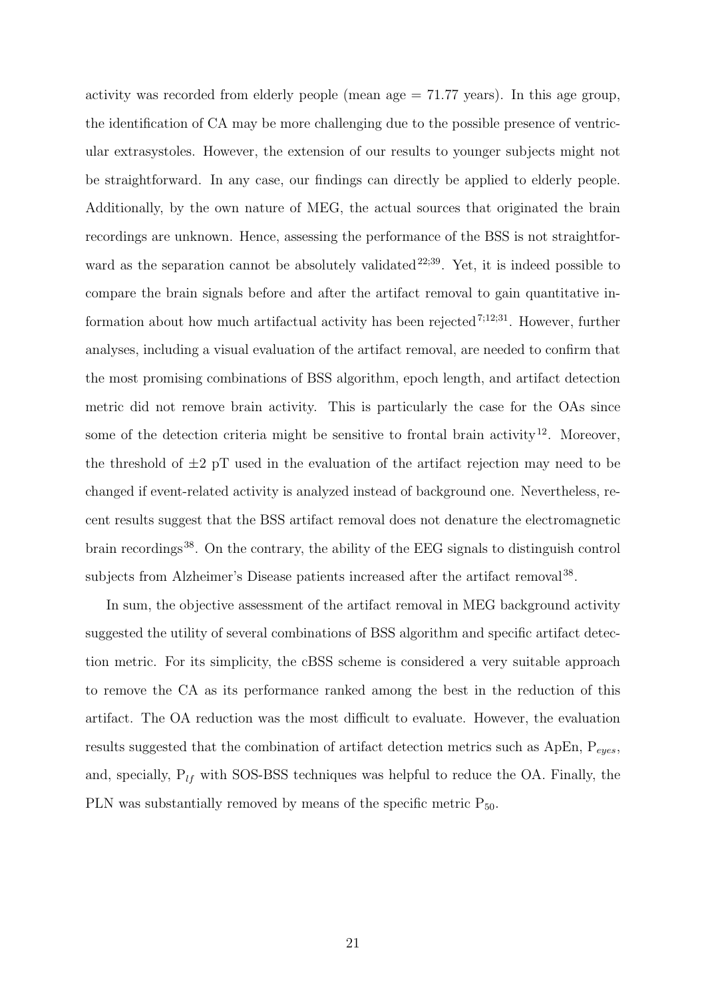activity was recorded from elderly people (mean  $\text{age} = 71.77 \text{ years}$ ). In this age group, the identification of CA may be more challenging due to the possible presence of ventricular extrasystoles. However, the extension of our results to younger subjects might not be straightforward. In any case, our findings can directly be applied to elderly people. Additionally, by the own nature of MEG, the actual sources that originated the brain recordings are unknown. Hence, assessing the performance of the BSS is not straightforward as the separation cannot be absolutely validated<sup>22;39</sup>. Yet, it is indeed possible to compare the brain signals before and after the artifact removal to gain quantitative information about how much artifactual activity has been rejected<sup>7;12;31</sup>. However, further analyses, including a visual evaluation of the artifact removal, are needed to confirm that the most promising combinations of BSS algorithm, epoch length, and artifact detection metric did not remove brain activity. This is particularly the case for the OAs since some of the detection criteria might be sensitive to frontal brain activity  $12$ . Moreover, the threshold of  $\pm 2$  pT used in the evaluation of the artifact rejection may need to be changed if event-related activity is analyzed instead of background one. Nevertheless, recent results suggest that the BSS artifact removal does not denature the electromagnetic brain recordings<sup>38</sup>. On the contrary, the ability of the EEG signals to distinguish control subjects from Alzheimer's Disease patients increased after the artifact removal<sup>38</sup>.

In sum, the objective assessment of the artifact removal in MEG background activity suggested the utility of several combinations of BSS algorithm and specific artifact detection metric. For its simplicity, the cBSS scheme is considered a very suitable approach to remove the CA as its performance ranked among the best in the reduction of this artifact. The OA reduction was the most difficult to evaluate. However, the evaluation results suggested that the combination of artifact detection metrics such as ApEn,  $P_{eues}$ , and, specially,  $P_{lf}$  with SOS-BSS techniques was helpful to reduce the OA. Finally, the PLN was substantially removed by means of the specific metric  $P_{50}$ .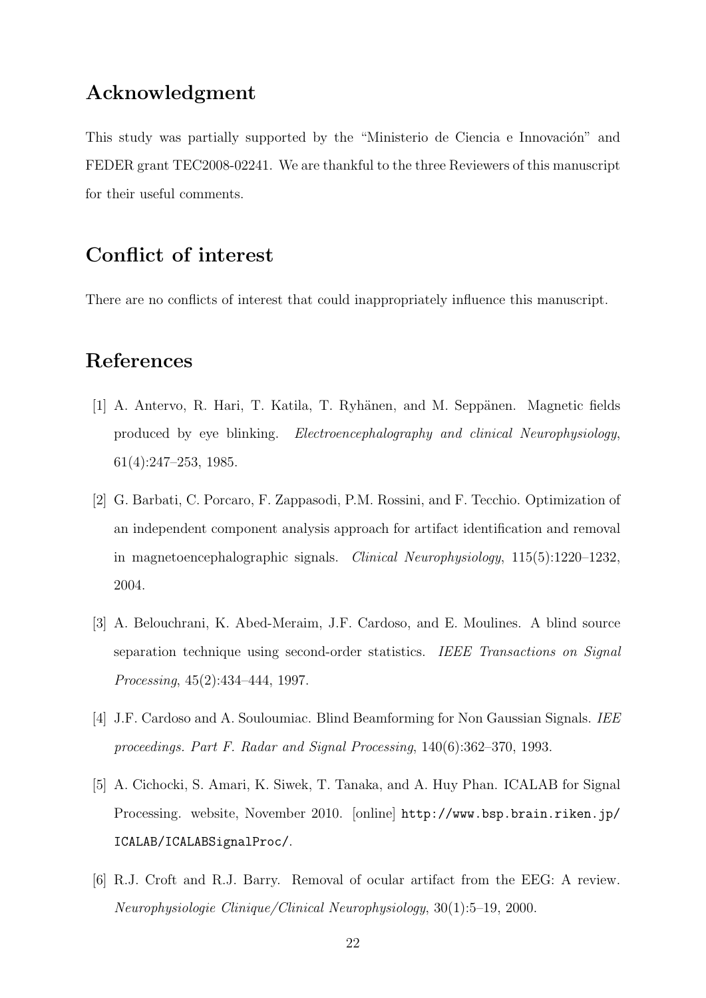## Acknowledgment

This study was partially supported by the "Ministerio de Ciencia e Innovación" and FEDER grant TEC2008-02241. We are thankful to the three Reviewers of this manuscript for their useful comments.

## Conflict of interest

There are no conflicts of interest that could inappropriately influence this manuscript.

## References

- [1] A. Antervo, R. Hari, T. Katila, T. Ryhänen, and M. Seppänen. Magnetic fields produced by eye blinking. Electroencephalography and clinical Neurophysiology, 61(4):247–253, 1985.
- [2] G. Barbati, C. Porcaro, F. Zappasodi, P.M. Rossini, and F. Tecchio. Optimization of an independent component analysis approach for artifact identification and removal in magnetoencephalographic signals. Clinical Neurophysiology, 115(5):1220–1232, 2004.
- [3] A. Belouchrani, K. Abed-Meraim, J.F. Cardoso, and E. Moulines. A blind source separation technique using second-order statistics. IEEE Transactions on Signal Processing, 45(2):434–444, 1997.
- [4] J.F. Cardoso and A. Souloumiac. Blind Beamforming for Non Gaussian Signals. IEE proceedings. Part F. Radar and Signal Processing, 140(6):362–370, 1993.
- [5] A. Cichocki, S. Amari, K. Siwek, T. Tanaka, and A. Huy Phan. ICALAB for Signal Processing. website, November 2010. [online] http://www.bsp.brain.riken.jp/ ICALAB/ICALABSignalProc/.
- [6] R.J. Croft and R.J. Barry. Removal of ocular artifact from the EEG: A review. Neurophysiologie Clinique/Clinical Neurophysiology, 30(1):5–19, 2000.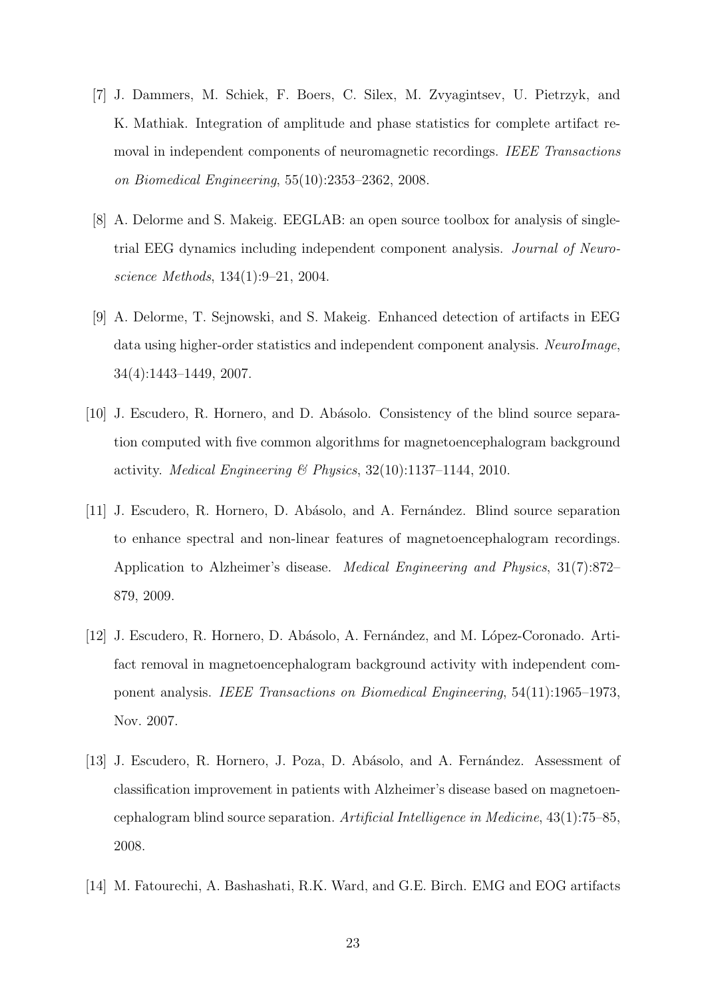- [7] J. Dammers, M. Schiek, F. Boers, C. Silex, M. Zvyagintsev, U. Pietrzyk, and K. Mathiak. Integration of amplitude and phase statistics for complete artifact removal in independent components of neuromagnetic recordings. IEEE Transactions on Biomedical Engineering, 55(10):2353–2362, 2008.
- [8] A. Delorme and S. Makeig. EEGLAB: an open source toolbox for analysis of singletrial EEG dynamics including independent component analysis. Journal of Neuroscience Methods, 134(1):9–21, 2004.
- [9] A. Delorme, T. Sejnowski, and S. Makeig. Enhanced detection of artifacts in EEG data using higher-order statistics and independent component analysis. NeuroImage, 34(4):1443–1449, 2007.
- [10] J. Escudero, R. Hornero, and D. Ab´asolo. Consistency of the blind source separation computed with five common algorithms for magnetoencephalogram background activity. *Medical Engineering* & Physics,  $32(10):1137-1144$ , 2010.
- [11] J. Escudero, R. Hornero, D. Abásolo, and A. Fernández. Blind source separation to enhance spectral and non-linear features of magnetoencephalogram recordings. Application to Alzheimer's disease. Medical Engineering and Physics, 31(7):872– 879, 2009.
- [12] J. Escudero, R. Hornero, D. Abásolo, A. Fernández, and M. López-Coronado. Artifact removal in magnetoencephalogram background activity with independent component analysis. IEEE Transactions on Biomedical Engineering, 54(11):1965–1973, Nov. 2007.
- [13] J. Escudero, R. Hornero, J. Poza, D. Abásolo, and A. Fernández. Assessment of classification improvement in patients with Alzheimer's disease based on magnetoencephalogram blind source separation. Artificial Intelligence in Medicine, 43(1):75–85, 2008.
- [14] M. Fatourechi, A. Bashashati, R.K. Ward, and G.E. Birch. EMG and EOG artifacts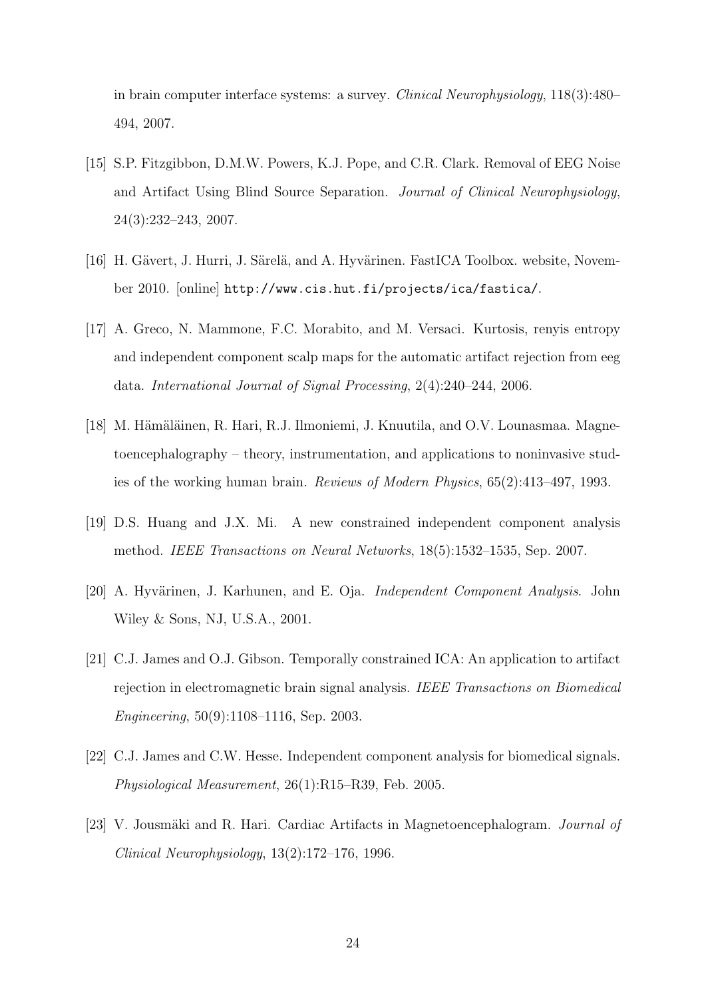in brain computer interface systems: a survey. Clinical Neurophysiology, 118(3):480– 494, 2007.

- [15] S.P. Fitzgibbon, D.M.W. Powers, K.J. Pope, and C.R. Clark. Removal of EEG Noise and Artifact Using Blind Source Separation. Journal of Clinical Neurophysiology, 24(3):232–243, 2007.
- [16] H. Gävert, J. Hurri, J. Särelä, and A. Hyvärinen. FastICA Toolbox. website, November 2010. [online] http://www.cis.hut.fi/projects/ica/fastica/.
- [17] A. Greco, N. Mammone, F.C. Morabito, and M. Versaci. Kurtosis, renyis entropy and independent component scalp maps for the automatic artifact rejection from eeg data. International Journal of Signal Processing, 2(4):240–244, 2006.
- [18] M. Hämäläinen, R. Hari, R.J. Ilmoniemi, J. Knuutila, and O.V. Lounasmaa. Magnetoencephalography – theory, instrumentation, and applications to noninvasive studies of the working human brain. Reviews of Modern Physics, 65(2):413–497, 1993.
- [19] D.S. Huang and J.X. Mi. A new constrained independent component analysis method. IEEE Transactions on Neural Networks, 18(5):1532–1535, Sep. 2007.
- [20] A. Hyvärinen, J. Karhunen, and E. Oja. *Independent Component Analysis*. John Wiley & Sons, NJ, U.S.A., 2001.
- [21] C.J. James and O.J. Gibson. Temporally constrained ICA: An application to artifact rejection in electromagnetic brain signal analysis. IEEE Transactions on Biomedical Engineering, 50(9):1108–1116, Sep. 2003.
- [22] C.J. James and C.W. Hesse. Independent component analysis for biomedical signals. Physiological Measurement, 26(1):R15–R39, Feb. 2005.
- [23] V. Jousmäki and R. Hari. Cardiac Artifacts in Magnetoencephalogram. Journal of Clinical Neurophysiology, 13(2):172–176, 1996.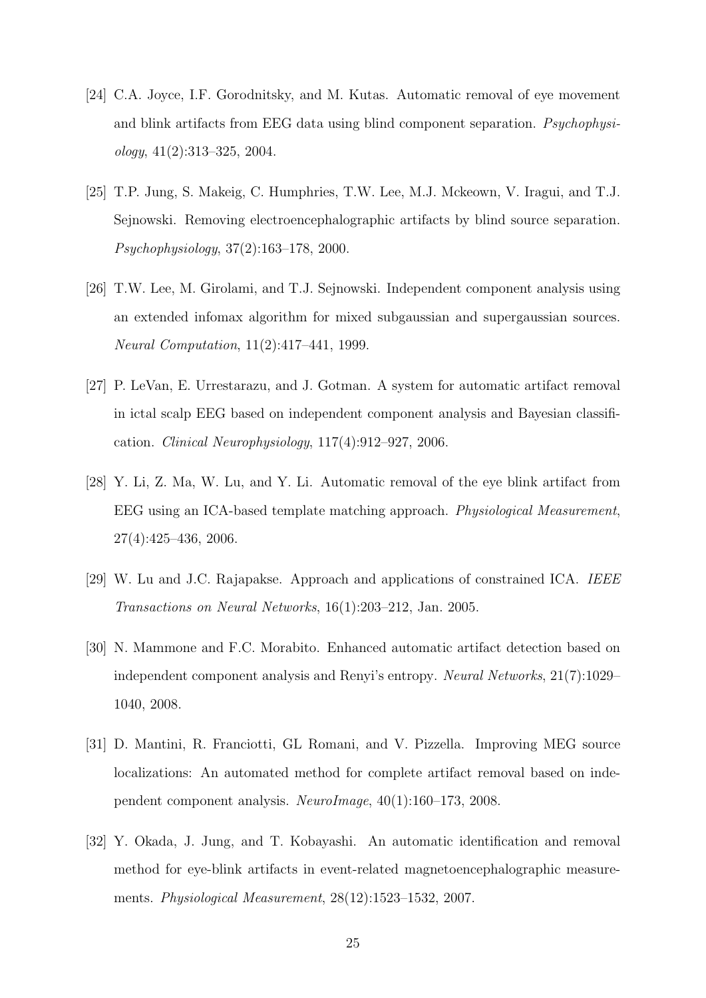- [24] C.A. Joyce, I.F. Gorodnitsky, and M. Kutas. Automatic removal of eye movement and blink artifacts from EEG data using blind component separation. Psychophysiology, 41(2):313–325, 2004.
- [25] T.P. Jung, S. Makeig, C. Humphries, T.W. Lee, M.J. Mckeown, V. Iragui, and T.J. Sejnowski. Removing electroencephalographic artifacts by blind source separation. Psychophysiology, 37(2):163–178, 2000.
- [26] T.W. Lee, M. Girolami, and T.J. Sejnowski. Independent component analysis using an extended infomax algorithm for mixed subgaussian and supergaussian sources. Neural Computation, 11(2):417–441, 1999.
- [27] P. LeVan, E. Urrestarazu, and J. Gotman. A system for automatic artifact removal in ictal scalp EEG based on independent component analysis and Bayesian classification. Clinical Neurophysiology, 117(4):912–927, 2006.
- [28] Y. Li, Z. Ma, W. Lu, and Y. Li. Automatic removal of the eye blink artifact from EEG using an ICA-based template matching approach. Physiological Measurement, 27(4):425–436, 2006.
- [29] W. Lu and J.C. Rajapakse. Approach and applications of constrained ICA. IEEE Transactions on Neural Networks, 16(1):203–212, Jan. 2005.
- [30] N. Mammone and F.C. Morabito. Enhanced automatic artifact detection based on independent component analysis and Renyi's entropy. Neural Networks, 21(7):1029– 1040, 2008.
- [31] D. Mantini, R. Franciotti, GL Romani, and V. Pizzella. Improving MEG source localizations: An automated method for complete artifact removal based on independent component analysis. NeuroImage, 40(1):160–173, 2008.
- [32] Y. Okada, J. Jung, and T. Kobayashi. An automatic identification and removal method for eye-blink artifacts in event-related magnetoencephalographic measurements. Physiological Measurement, 28(12):1523–1532, 2007.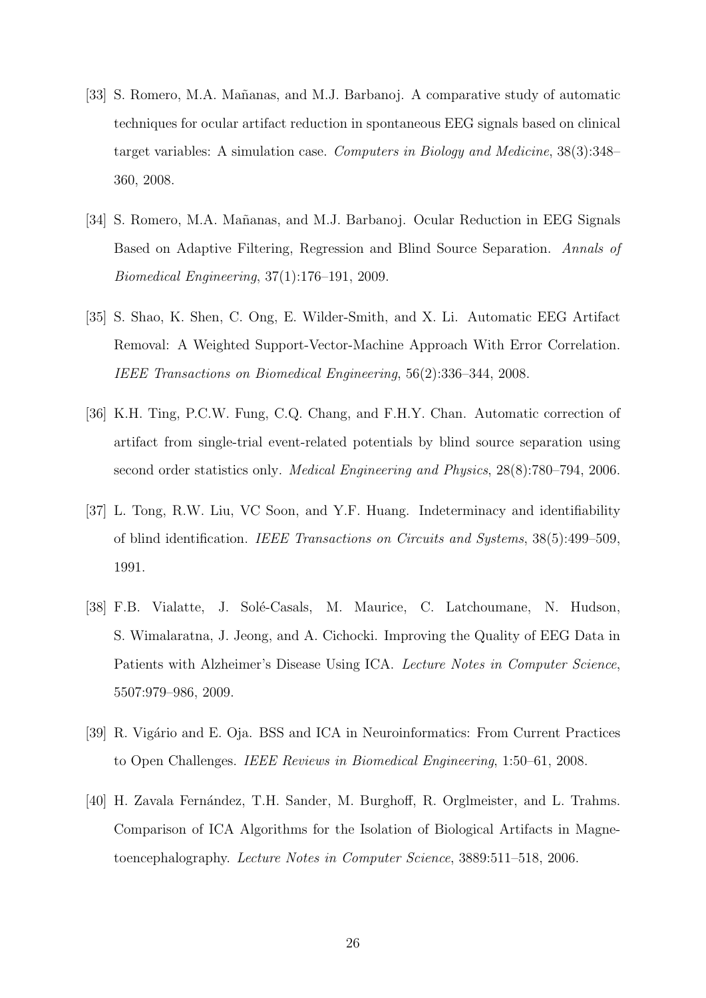- [33] S. Romero, M.A. Ma˜nanas, and M.J. Barbanoj. A comparative study of automatic techniques for ocular artifact reduction in spontaneous EEG signals based on clinical target variables: A simulation case. Computers in Biology and Medicine, 38(3):348– 360, 2008.
- [34] S. Romero, M.A. Mañanas, and M.J. Barbanoj. Ocular Reduction in EEG Signals Based on Adaptive Filtering, Regression and Blind Source Separation. Annals of Biomedical Engineering, 37(1):176–191, 2009.
- [35] S. Shao, K. Shen, C. Ong, E. Wilder-Smith, and X. Li. Automatic EEG Artifact Removal: A Weighted Support-Vector-Machine Approach With Error Correlation. IEEE Transactions on Biomedical Engineering, 56(2):336–344, 2008.
- [36] K.H. Ting, P.C.W. Fung, C.Q. Chang, and F.H.Y. Chan. Automatic correction of artifact from single-trial event-related potentials by blind source separation using second order statistics only. Medical Engineering and Physics, 28(8):780–794, 2006.
- [37] L. Tong, R.W. Liu, VC Soon, and Y.F. Huang. Indeterminacy and identifiability of blind identification. IEEE Transactions on Circuits and Systems, 38(5):499–509, 1991.
- [38] F.B. Vialatte, J. Solé-Casals, M. Maurice, C. Latchoumane, N. Hudson, S. Wimalaratna, J. Jeong, and A. Cichocki. Improving the Quality of EEG Data in Patients with Alzheimer's Disease Using ICA. Lecture Notes in Computer Science, 5507:979–986, 2009.
- [39] R. Vigário and E. Oja. BSS and ICA in Neuroinformatics: From Current Practices to Open Challenges. IEEE Reviews in Biomedical Engineering, 1:50–61, 2008.
- [40] H. Zavala Fernández, T.H. Sander, M. Burghoff, R. Orglmeister, and L. Trahms. Comparison of ICA Algorithms for the Isolation of Biological Artifacts in Magnetoencephalography. Lecture Notes in Computer Science, 3889:511–518, 2006.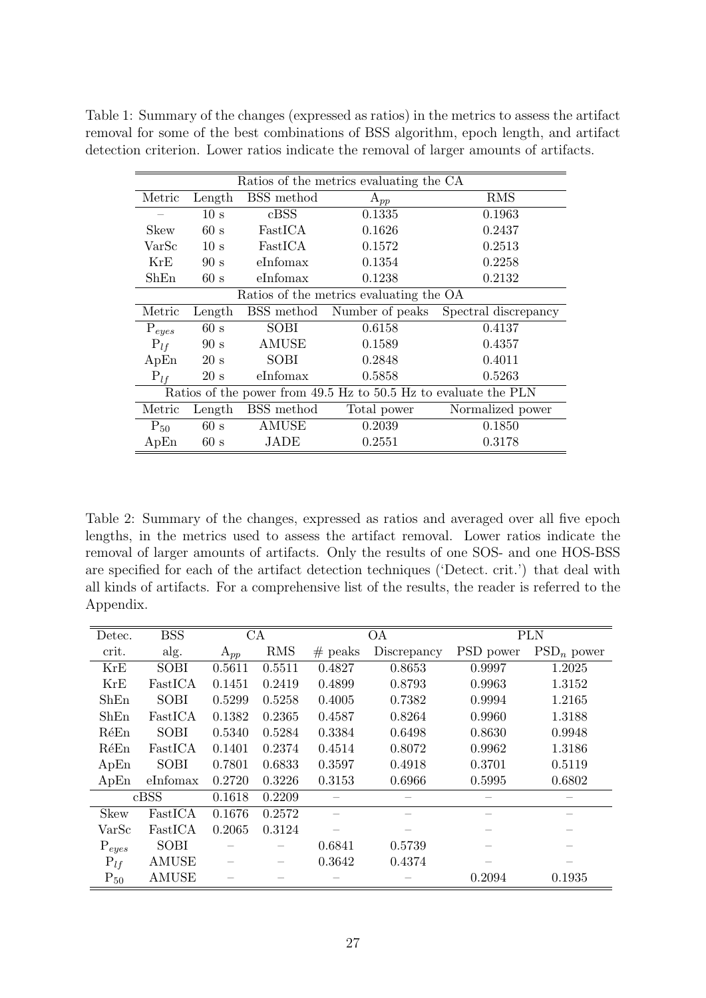| Ratios of the metrics evaluating the CA                         |                 |                   |                   |                      |  |  |  |  |  |  |
|-----------------------------------------------------------------|-----------------|-------------------|-------------------|----------------------|--|--|--|--|--|--|
| Metric                                                          | Length          | <b>BSS</b> method | $\mathrm{A}_{pp}$ | RMS                  |  |  |  |  |  |  |
|                                                                 | 10 <sub>s</sub> | cBSS              | 0.1335            | 0.1963               |  |  |  |  |  |  |
| Skew                                                            | 60 s            | FastICA           | 0.1626            | 0.2437               |  |  |  |  |  |  |
| $\operatorname{VarSc}$                                          | 10 <sub>s</sub> | FastICA           | 0.1572            | 0.2513               |  |  |  |  |  |  |
| KrE                                                             | 90 s            | eInfomax          | 0.1354            | 0.2258               |  |  |  |  |  |  |
| ShEn                                                            | 60 s            | eInfomax          | 0.1238            | 0.2132               |  |  |  |  |  |  |
| Ratios of the metrics evaluating the OA                         |                 |                   |                   |                      |  |  |  |  |  |  |
| Metric                                                          | Length          | BSS method        | Number of peaks   | Spectral discrepancy |  |  |  |  |  |  |
| $P_{eyes}$                                                      | 60 s            | <b>SOBI</b>       | 0.6158            | 0.4137               |  |  |  |  |  |  |
| $P_{lf}$                                                        | 90 s            | AMUSE             | 0.1589            | 0.4357               |  |  |  |  |  |  |
| ApEn                                                            | 20 s            | <b>SOBI</b>       | 0.2848            | 0.4011               |  |  |  |  |  |  |
| $P_{lf}$                                                        | 20 s            | eInfomax          | 0.5858            | 0.5263               |  |  |  |  |  |  |
| Ratios of the power from 49.5 Hz to 50.5 Hz to evaluate the PLN |                 |                   |                   |                      |  |  |  |  |  |  |
| Metric                                                          | Length          | BSS method        | Total power       | Normalized power     |  |  |  |  |  |  |
| $P_{50}$                                                        | 60 s            | AMUSE             | 0.2039            | 0.1850               |  |  |  |  |  |  |
| ApEn                                                            | 60 s            | JADE              | 0.2551            | 0.3178               |  |  |  |  |  |  |

Table 1: Summary of the changes (expressed as ratios) in the metrics to assess the artifact removal for some of the best combinations of BSS algorithm, epoch length, and artifact detection criterion. Lower ratios indicate the removal of larger amounts of artifacts.

Table 2: Summary of the changes, expressed as ratios and averaged over all five epoch lengths, in the metrics used to assess the artifact removal. Lower ratios indicate the removal of larger amounts of artifacts. Only the results of one SOS- and one HOS-BSS are specified for each of the artifact detection techniques ('Detect. crit.') that deal with all kinds of artifacts. For a comprehensive list of the results, the reader is referred to the Appendix.

| Detec.            | <b>BSS</b>   | CA                |            | <b>OA</b> |             | <b>PLN</b> |               |
|-------------------|--------------|-------------------|------------|-----------|-------------|------------|---------------|
| crit.             | alg.         | $\mathrm{A}_{pp}$ | <b>RMS</b> | $#$ peaks | Discrepancy | PSD power  | $PSD_n$ power |
| KrE               | <b>SOBI</b>  | 0.5611            | 0.5511     | 0.4827    | 0.8653      | 0.9997     | 1.2025        |
| KrE               | FastICA      | 0.1451            | 0.2419     | 0.4899    | 0.8793      | 0.9963     | 1.3152        |
| ShEn              | <b>SOBI</b>  | 0.5299            | 0.5258     | 0.4005    | 0.7382      | 0.9994     | 1.2165        |
| ShEn              | FastICA      | 0.1382            | 0.2365     | 0.4587    | 0.8264      | 0.9960     | 1.3188        |
| RéEn              | <b>SOBI</b>  | 0.5340            | 0.5284     | 0.3384    | 0.6498      | 0.8630     | 0.9948        |
| RéEn              | FastICA      | 0.1401            | 0.2374     | 0.4514    | 0.8072      | 0.9962     | 1.3186        |
| ApEn              | <b>SOBI</b>  | 0.7801            | 0.6833     | 0.3597    | 0.4918      | 0.3701     | 0.5119        |
| ApEn              | eInfomax     | 0.2720            | 0.3226     | 0.3153    | 0.6966      | 0.5995     | 0.6802        |
| cBSS              |              | 0.1618            | 0.2209     |           |             |            |               |
| <b>Skew</b>       | FastICA      | 0.1676            | 0.2572     |           |             |            |               |
| Var <sub>Sc</sub> | FastICA      | 0.2065            | 0.3124     |           |             |            |               |
| $P_{eyes}$        | <b>SOBI</b>  |                   |            | 0.6841    | 0.5739      |            |               |
| $P_{lf}$          | <b>AMUSE</b> |                   |            | 0.3642    | 0.4374      |            |               |
| $P_{50}$          | <b>AMUSE</b> |                   |            |           |             | 0.2094     | 0.1935        |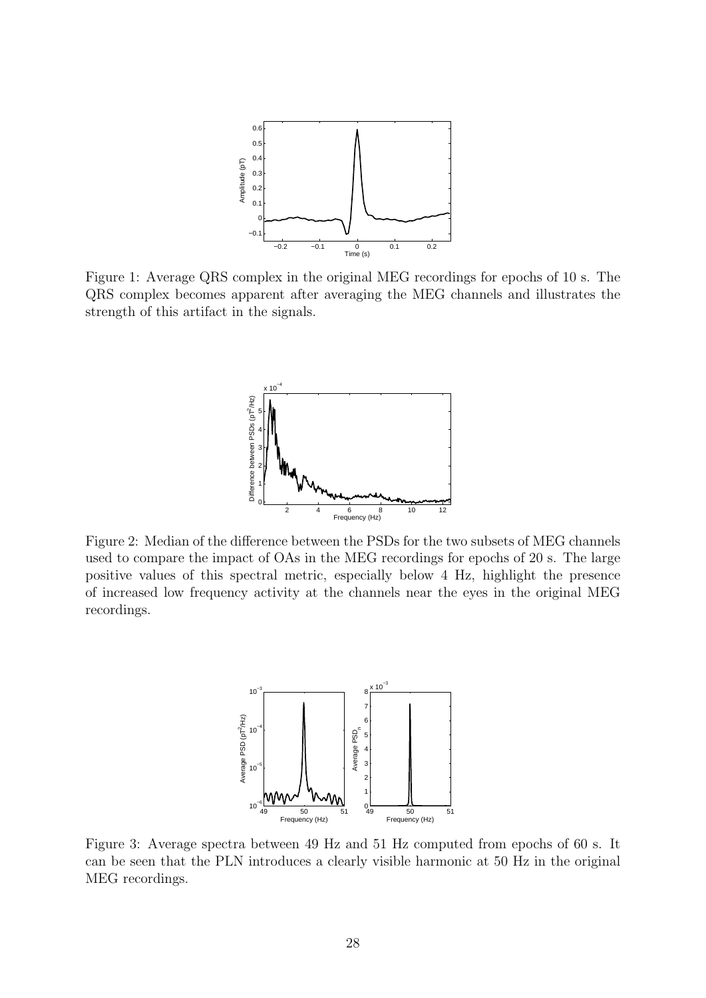

Figure 1: Average QRS complex in the original MEG recordings for epochs of 10 s. The QRS complex becomes apparent after averaging the MEG channels and illustrates the strength of this artifact in the signals.



Figure 2: Median of the difference between the PSDs for the two subsets of MEG channels used to compare the impact of OAs in the MEG recordings for epochs of 20 s. The large positive values of this spectral metric, especially below 4 Hz, highlight the presence of increased low frequency activity at the channels near the eyes in the original MEG recordings.



Figure 3: Average spectra between 49 Hz and 51 Hz computed from epochs of 60 s. It can be seen that the PLN introduces a clearly visible harmonic at 50 Hz in the original MEG recordings.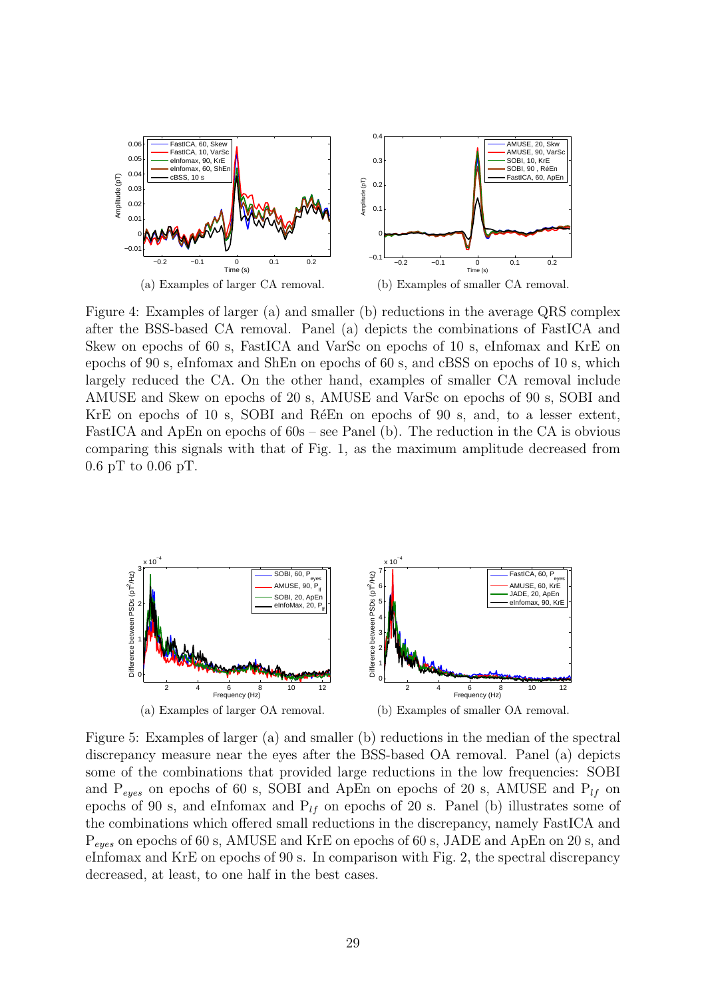

Figure 4: Examples of larger (a) and smaller (b) reductions in the average QRS complex after the BSS-based CA removal. Panel (a) depicts the combinations of FastICA and Skew on epochs of 60 s, FastICA and VarSc on epochs of 10 s, eInfomax and KrE on epochs of 90 s, eInfomax and ShEn on epochs of 60 s, and cBSS on epochs of 10 s, which largely reduced the CA. On the other hand, examples of smaller CA removal include AMUSE and Skew on epochs of 20 s, AMUSE and VarSc on epochs of 90 s, SOBI and KrE on epochs of 10 s, SOBI and RéEn on epochs of 90 s, and, to a lesser extent, FastICA and ApEn on epochs of 60s – see Panel (b). The reduction in the CA is obvious comparing this signals with that of Fig. 1, as the maximum amplitude decreased from 0.6 pT to 0.06 pT.



Figure 5: Examples of larger (a) and smaller (b) reductions in the median of the spectral discrepancy measure near the eyes after the BSS-based OA removal. Panel (a) depicts some of the combinations that provided large reductions in the low frequencies: SOBI and  $P_{eyes}$  on epochs of 60 s, SOBI and ApEn on epochs of 20 s, AMUSE and  $P_{lf}$  on epochs of 90 s, and eInfomax and  $P_{lf}$  on epochs of 20 s. Panel (b) illustrates some of the combinations which offered small reductions in the discrepancy, namely FastICA and Peyes on epochs of 60 s, AMUSE and KrE on epochs of 60 s, JADE and ApEn on 20 s, and eInfomax and KrE on epochs of 90 s. In comparison with Fig. 2, the spectral discrepancy decreased, at least, to one half in the best cases.